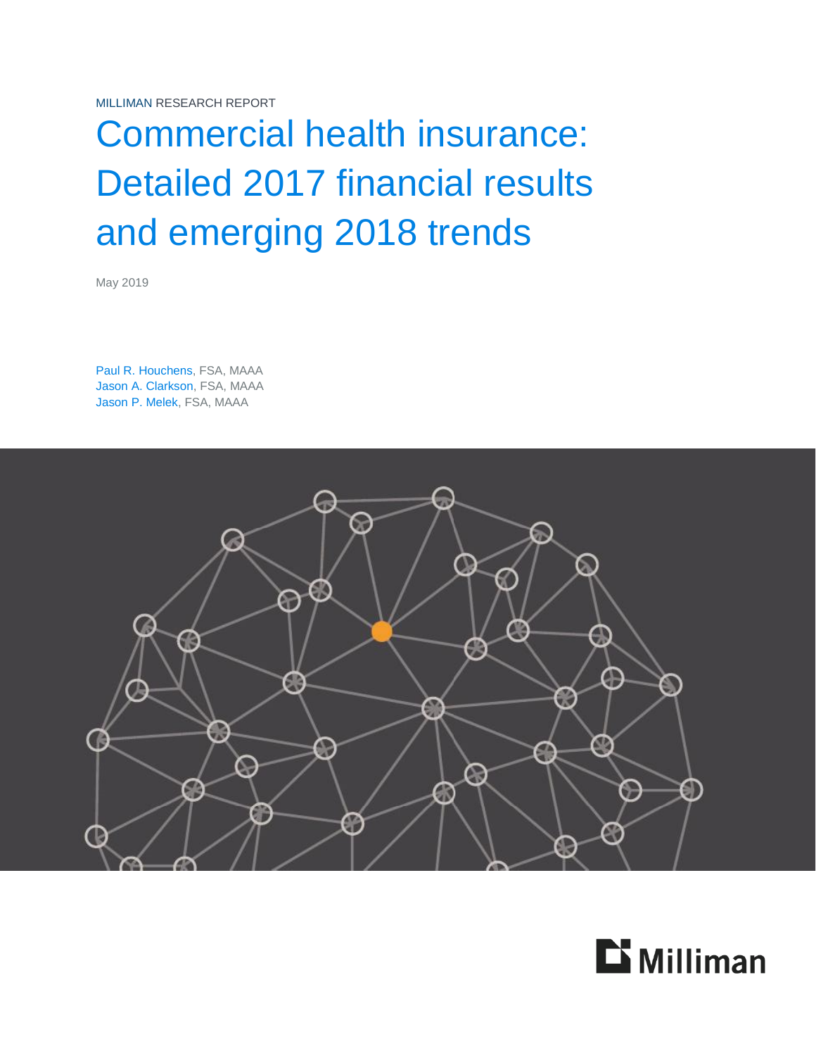MILLIMAN RESEARCH REPORT

# Commercial health insurance: Detailed 2017 financial results and emerging 2018 trends

May 2019

Paul R. Houchens, FSA, MAAA Jason A. Clarkson, FSA, MAAA Jason P. Melek, FSA, MAAA



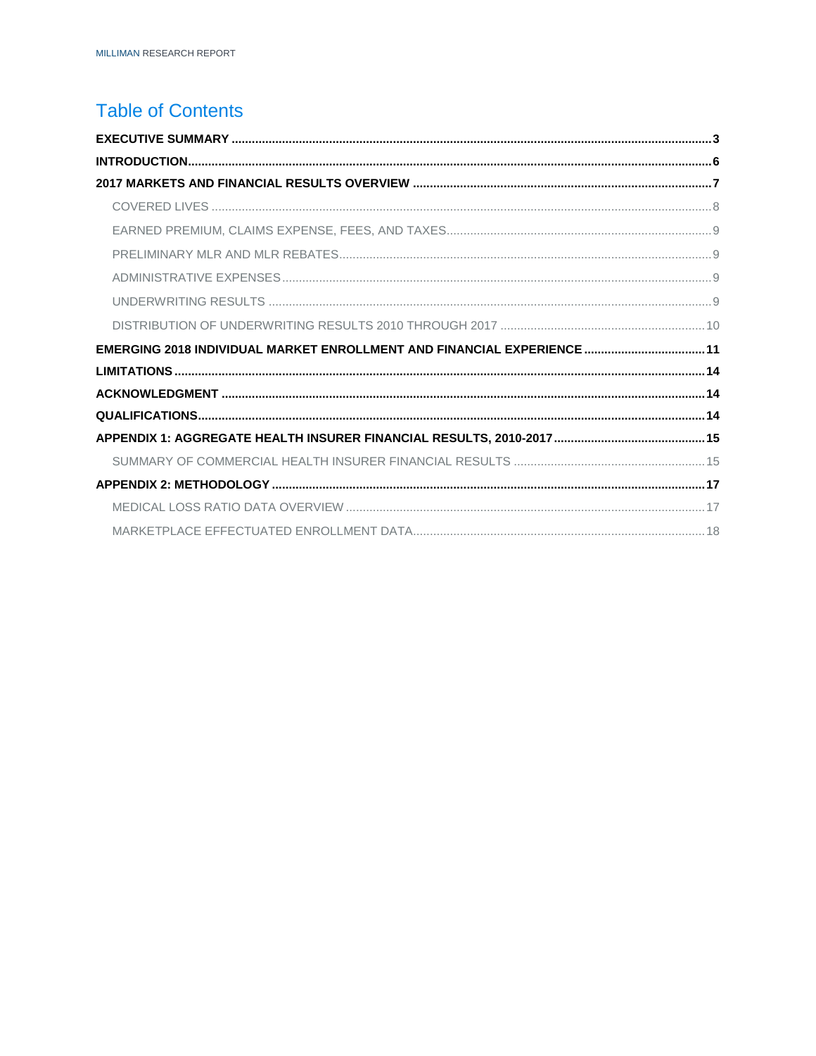# **Table of Contents**

| EMERGING 2018 INDIVIDUAL MARKET ENROLLMENT AND FINANCIAL EXPERIENCE  11 |  |
|-------------------------------------------------------------------------|--|
|                                                                         |  |
|                                                                         |  |
|                                                                         |  |
|                                                                         |  |
|                                                                         |  |
|                                                                         |  |
|                                                                         |  |
|                                                                         |  |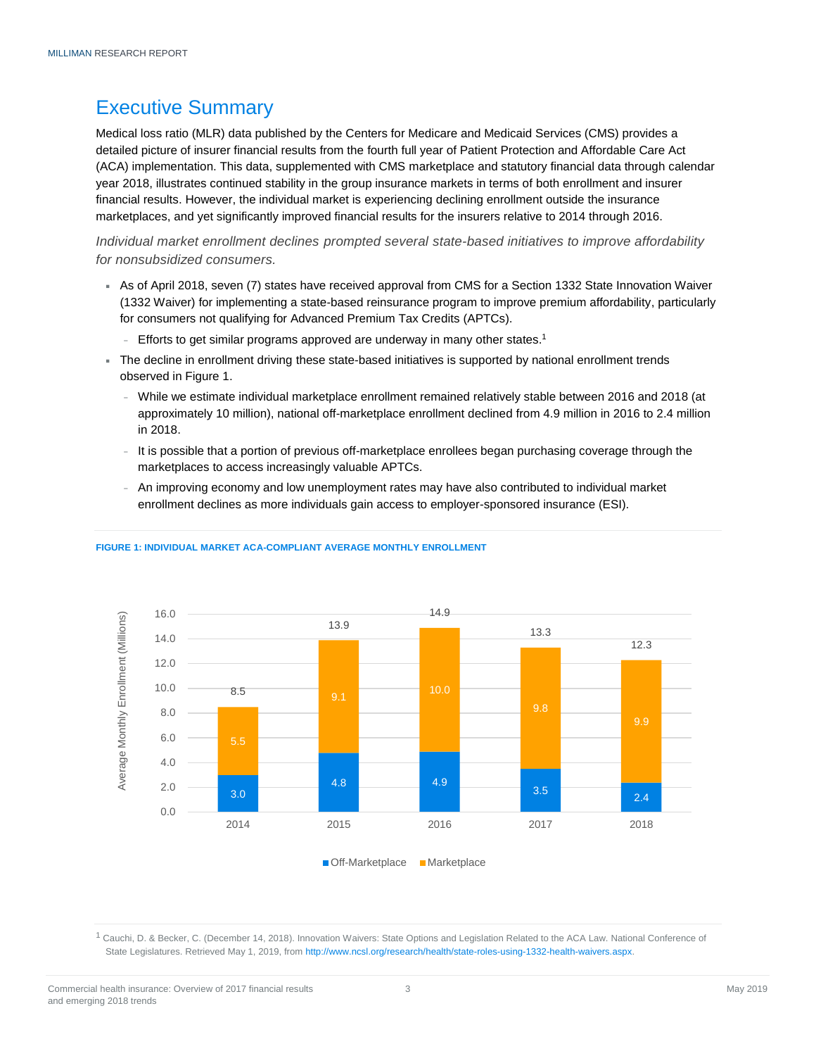# <span id="page-2-0"></span>Executive Summary

Medical loss ratio (MLR) data published by the Centers for Medicare and Medicaid Services (CMS) provides a detailed picture of insurer financial results from the fourth full year of Patient Protection and Affordable Care Act (ACA) implementation. This data, supplemented with CMS marketplace and statutory financial data through calendar year 2018, illustrates continued stability in the group insurance markets in terms of both enrollment and insurer financial results. However, the individual market is experiencing declining enrollment outside the insurance marketplaces, and yet significantly improved financial results for the insurers relative to 2014 through 2016.

*Individual market enrollment declines prompted several state-based initiatives to improve affordability for nonsubsidized consumers.*

- As of April 2018, seven (7) states have received approval from CMS for a Section 1332 State Innovation Waiver (1332 Waiver) for implementing a state-based reinsurance program to improve premium affordability, particularly for consumers not qualifying for Advanced Premium Tax Credits (APTCs).
	- <sup>−</sup> Efforts to get similar programs approved are underway in many other states.<sup>1</sup>
- The decline in enrollment driving these state-based initiatives is supported by national enrollment trends observed in Figure 1.
	- <sup>−</sup> While we estimate individual marketplace enrollment remained relatively stable between 2016 and 2018 (at approximately 10 million), national off-marketplace enrollment declined from 4.9 million in 2016 to 2.4 million in 2018.
	- It is possible that a portion of previous off-marketplace enrollees began purchasing coverage through the marketplaces to access increasingly valuable APTCs.
	- <sup>−</sup> An improving economy and low unemployment rates may have also contributed to individual market enrollment declines as more individuals gain access to employer-sponsored insurance (ESI).



#### **FIGURE 1: INDIVIDUAL MARKET ACA-COMPLIANT AVERAGE MONTHLY ENROLLMENT**

<sup>1</sup> Cauchi, D. & Becker, C. (December 14, 2018). Innovation Waivers: State Options and Legislation Related to the ACA Law. National Conference of State Legislatures. Retrieved May 1, 2019, fro[m http://www.ncsl.org/research/health/state-roles-using-1332-health-waivers.aspx.](http://www.ncsl.org/research/health/state-roles-using-1332-health-waivers.aspx)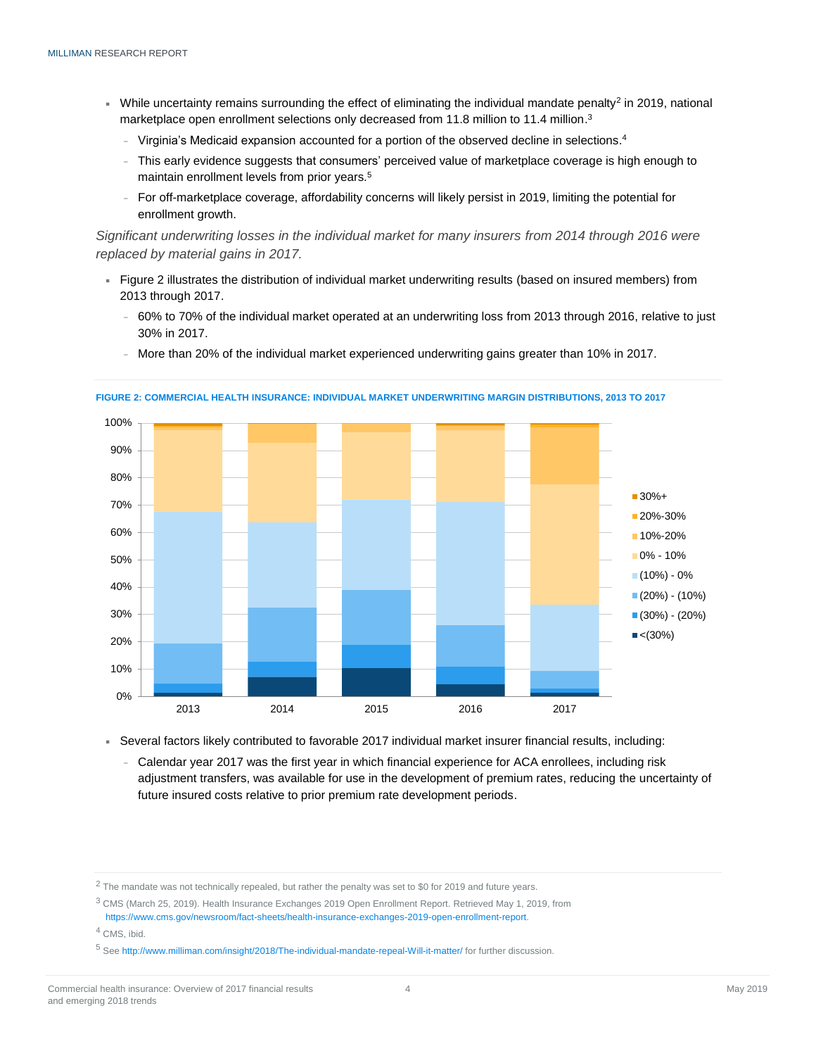- Uhile uncertainty remains surrounding the effect of eliminating the individual mandate penalty<sup>2</sup> in 2019, national marketplace open enrollment selections only decreased from 11.8 million to 11.4 million.<sup>3</sup>
	- <sup>−</sup> Virginia's Medicaid expansion accounted for a portion of the observed decline in selections. 4
	- This early evidence suggests that consumers' perceived value of marketplace coverage is high enough to maintain enrollment levels from prior years.<sup>5</sup>
	- <sup>−</sup> For off-marketplace coverage, affordability concerns will likely persist in 2019, limiting the potential for enrollment growth.

*Significant underwriting losses in the individual market for many insurers from 2014 through 2016 were replaced by material gains in 2017.*

- Figure 2 illustrates the distribution of individual market underwriting results (based on insured members) from 2013 through 2017.
	- <sup>−</sup> 60% to 70% of the individual market operated at an underwriting loss from 2013 through 2016, relative to just 30% in 2017.
	- <sup>−</sup> More than 20% of the individual market experienced underwriting gains greater than 10% in 2017.



**FIGURE 2: COMMERCIAL HEALTH INSURANCE: INDIVIDUAL MARKET UNDERWRITING MARGIN DISTRIBUTIONS, 2013 TO 2017**

Several factors likely contributed to favorable 2017 individual market insurer financial results, including:

<sup>−</sup> Calendar year 2017 was the first year in which financial experience for ACA enrollees, including risk adjustment transfers, was available for use in the development of premium rates, reducing the uncertainty of future insured costs relative to prior premium rate development periods.

<sup>2</sup> The mandate was not technically repealed, but rather the penalty was set to \$0 for 2019 and future years.

<sup>3</sup> CMS (March 25, 2019). Health Insurance Exchanges 2019 Open Enrollment Report. Retrieved May 1, 2019, from [https://www.cms.gov/newsroom/fact-sheets/health-insurance-exchanges-2019-open-enrollment-report.](https://www.cms.gov/newsroom/fact-sheets/health-insurance-exchanges-2019-open-enrollment-report)

<sup>4</sup> CMS, ibid.

<sup>5</sup> Se[e http://www.milliman.com/insight/2018/The-individual-mandate-repeal-Will-it-matter/](http://www.milliman.com/insight/2018/The-individual-mandate-repeal-Will-it-matter/) for further discussion.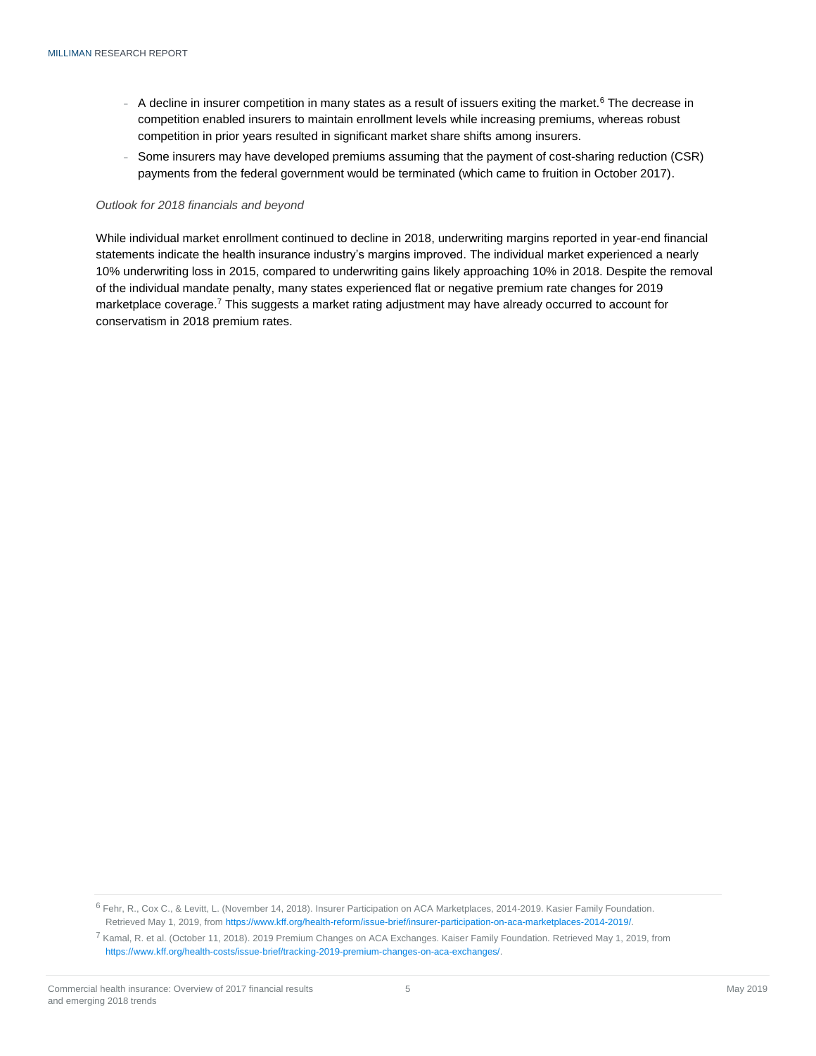- A decline in insurer competition in many states as a result of issuers exiting the market.<sup>6</sup> The decrease in competition enabled insurers to maintain enrollment levels while increasing premiums, whereas robust competition in prior years resulted in significant market share shifts among insurers.
- Some insurers may have developed premiums assuming that the payment of cost-sharing reduction (CSR) payments from the federal government would be terminated (which came to fruition in October 2017).

#### *Outlook for 2018 financials and beyond*

<span id="page-4-0"></span>While individual market enrollment continued to decline in 2018, underwriting margins reported in year-end financial statements indicate the health insurance industry's margins improved. The individual market experienced a nearly 10% underwriting loss in 2015, compared to underwriting gains likely approaching 10% in 2018. Despite the removal of the individual mandate penalty, many states experienced flat or negative premium rate changes for 2019 marketplace coverage.<sup>7</sup> This suggests a market rating adjustment may have already occurred to account for conservatism in 2018 premium rates.

<sup>6</sup> Fehr, R., Cox C., & Levitt, L. (November 14, 2018). Insurer Participation on ACA Marketplaces, 2014-2019. Kasier Family Foundation. Retrieved May 1, 2019, fro[m https://www.kff.org/health-reform/issue-brief/insurer-participation-on-aca-marketplaces-2014-2019/.](https://www.kff.org/health-reform/issue-brief/insurer-participation-on-aca-marketplaces-2014-2019/)

<sup>7</sup> Kamal, R. et al. (October 11, 2018). 2019 Premium Changes on ACA Exchanges. Kaiser Family Foundation. Retrieved May 1, 2019, from [https://www.kff.org/health-costs/issue-brief/tracking-2019-premium-changes-on-aca-exchanges/.](https://www.kff.org/health-costs/issue-brief/tracking-2019-premium-changes-on-aca-exchanges/)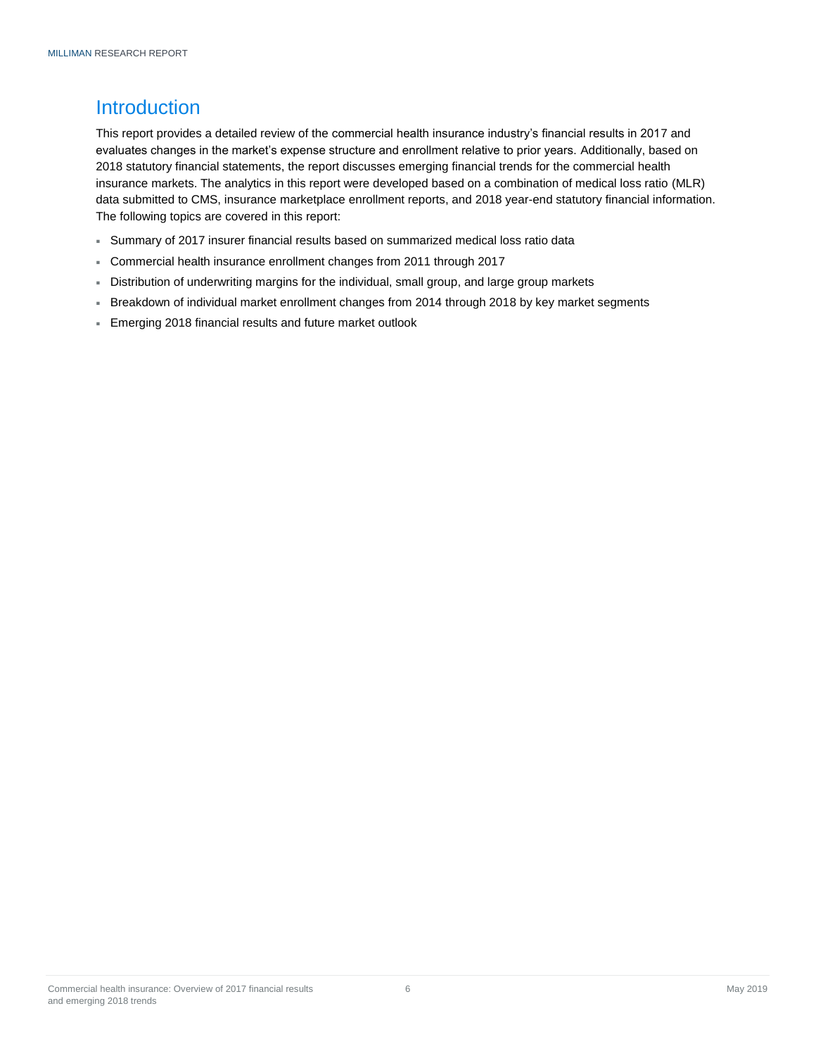# **Introduction**

This report provides a detailed review of the commercial health insurance industry's financial results in 2017 and evaluates changes in the market's expense structure and enrollment relative to prior years. Additionally, based on 2018 statutory financial statements, the report discusses emerging financial trends for the commercial health insurance markets. The analytics in this report were developed based on a combination of medical loss ratio (MLR) data submitted to CMS, insurance marketplace enrollment reports, and 2018 year-end statutory financial information. The following topics are covered in this report:

- Summary of 2017 insurer financial results based on summarized medical loss ratio data
- Commercial health insurance enrollment changes from 2011 through 2017
- Distribution of underwriting margins for the individual, small group, and large group markets
- Breakdown of individual market enrollment changes from 2014 through 2018 by key market segments
- Emerging 2018 financial results and future market outlook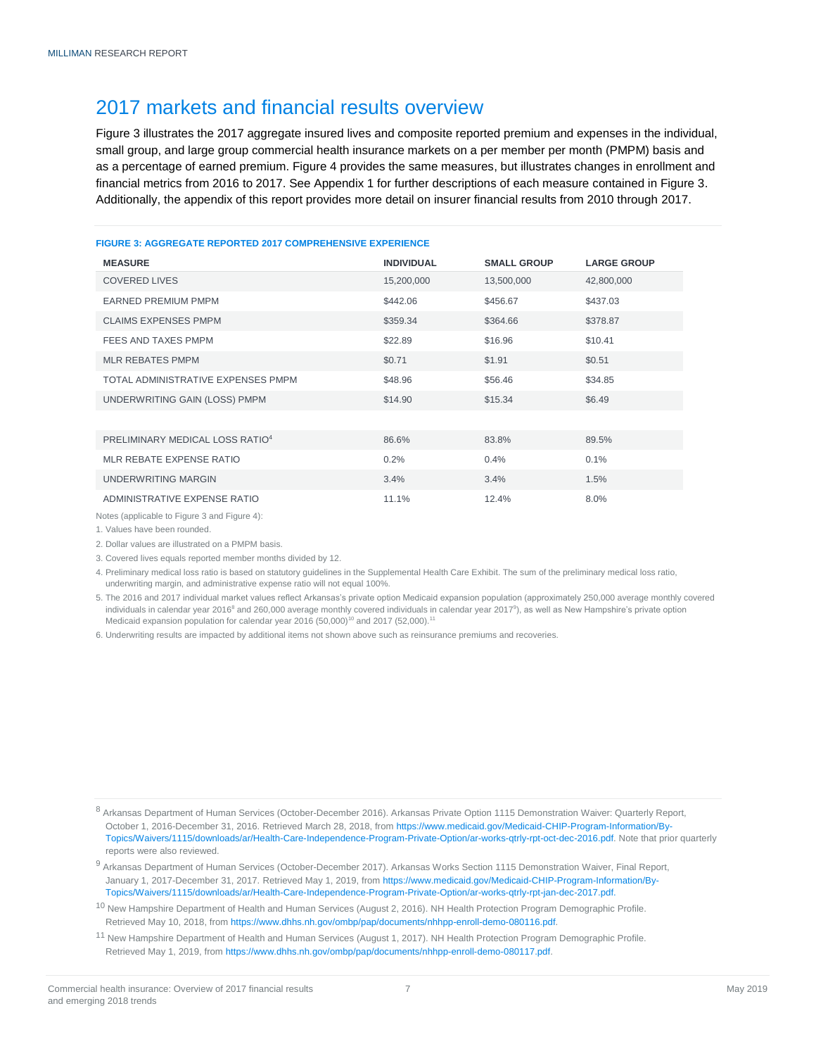### <span id="page-6-0"></span>2017 markets and financial results overview

Figure 3 illustrates the 2017 aggregate insured lives and composite reported premium and expenses in the individual, small group, and large group commercial health insurance markets on a per member per month (PMPM) basis and as a percentage of earned premium. Figure 4 provides the same measures, but illustrates changes in enrollment and financial metrics from 2016 to 2017. See Appendix 1 for further descriptions of each measure contained in Figure 3. Additionally, the appendix of this report provides more detail on insurer financial results from 2010 through 2017.

#### **FIGURE 3: AGGREGATE REPORTED 2017 COMPREHENSIVE EXPERIENCE**

| <b>MEASURE</b>                              | <b>INDIVIDUAL</b> | <b>SMALL GROUP</b> | <b>LARGE GROUP</b> |
|---------------------------------------------|-------------------|--------------------|--------------------|
| <b>COVERED LIVES</b>                        | 15,200,000        | 13,500,000         | 42,800,000         |
| <b>EARNED PREMIUM PMPM</b>                  | \$442.06          | \$456.67           | \$437.03           |
| <b>CLAIMS EXPENSES PMPM</b>                 | \$359.34          | \$364.66           | \$378.87           |
| FEES AND TAXES PMPM                         | \$22.89           | \$16.96            | \$10.41            |
| <b>MLR REBATES PMPM</b>                     | \$0.71            | \$1.91             | \$0.51             |
| TOTAL ADMINISTRATIVE EXPENSES PMPM          | \$48.96           | \$56.46            | \$34.85            |
| UNDERWRITING GAIN (LOSS) PMPM               | \$14.90           | \$15.34            | \$6.49             |
|                                             |                   |                    |                    |
| PRELIMINARY MEDICAL LOSS RATIO <sup>4</sup> | 86.6%             | 83.8%              | 89.5%              |
| MLR REBATE EXPENSE RATIO                    | 0.2%              | 0.4%               | 0.1%               |
| UNDERWRITING MARGIN                         | 3.4%              | 3.4%               | 1.5%               |
| ADMINISTRATIVE EXPENSE RATIO                | 11.1%             | 12.4%              | 8.0%               |

Notes (applicable to Figure 3 and Figure 4):

1. Values have been rounded.

2. Dollar values are illustrated on a PMPM basis.

3. Covered lives equals reported member months divided by 12.

4. Preliminary medical loss ratio is based on statutory guidelines in the Supplemental Health Care Exhibit. The sum of the preliminary medical loss ratio, underwriting margin, and administrative expense ratio will not equal 100%.

5. The 2016 and 2017 individual market values reflect Arkansas's private option Medicaid expansion population (approximately 250,000 average monthly covered individuals in calendar year 2016<sup>8</sup> and 260,000 average monthly covered individuals in calendar year 2017<sup>9</sup>), as well as New Hampshire's private option Medicaid expansion population for calendar year 2016 (50,000)<sup>10</sup> and 2017 (52,000).<sup>11</sup>

6. Underwriting results are impacted by additional items not shown above such as reinsurance premiums and recoveries.

<sup>8</sup> Arkansas Department of Human Services (October-December 2016). Arkansas Private Option 1115 Demonstration Waiver: Quarterly Report, October 1, 2016-December 31, 2016. Retrieved March 28, 2018, fro[m https://www.medicaid.gov/Medicaid-CHIP-Program-Information/By-](https://www.medicaid.gov/Medicaid-CHIP-Program-Information/By-Topics/Waivers/1115/downloads/ar/Health-Care-Independence-Program-Private-Option/ar-works-qtrly-rpt-oct-dec-2016.pdf)[Topics/Waivers/1115/downloads/ar/Health-Care-Independence-Program-Private-Option/ar-works-qtrly-rpt-oct-dec-2016.pdf.](https://www.medicaid.gov/Medicaid-CHIP-Program-Information/By-Topics/Waivers/1115/downloads/ar/Health-Care-Independence-Program-Private-Option/ar-works-qtrly-rpt-oct-dec-2016.pdf) Note that prior quarterly reports were also reviewed.

<sup>11</sup> New Hampshire Department of Health and Human Services (August 1, 2017). NH Health Protection Program Demographic Profile. Retrieved May 1, 2019, fro[m https://www.dhhs.nh.gov/ombp/pap/documents/nhhpp-enroll-demo-080117.pdf.](https://www.dhhs.nh.gov/ombp/pap/documents/nhhpp-enroll-demo-080117.pdf)

<sup>9</sup> Arkansas Department of Human Services (October-December 2017). Arkansas Works Section 1115 Demonstration Waiver, Final Report, January 1, 2017-December 31, 2017. Retrieved May 1, 2019, fro[m https://www.medicaid.gov/Medicaid-CHIP-Program-Information/By-](https://www.medicaid.gov/Medicaid-CHIP-Program-Information/By-Topics/Waivers/1115/downloads/ar/Health-Care-Independence-Program-Private-Option/ar-works-qtrly-rpt-jan-dec-2017.pdf)[Topics/Waivers/1115/downloads/ar/Health-Care-Independence-Program-Private-Option/ar-works-qtrly-rpt-jan-dec-2017.pdf.](https://www.medicaid.gov/Medicaid-CHIP-Program-Information/By-Topics/Waivers/1115/downloads/ar/Health-Care-Independence-Program-Private-Option/ar-works-qtrly-rpt-jan-dec-2017.pdf)

<sup>&</sup>lt;sup>10</sup> New Hampshire Department of Health and Human Services (August 2, 2016). NH Health Protection Program Demographic Profile. Retrieved May 10, 2018, fro[m https://www.dhhs.nh.gov/ombp/pap/documents/nhhpp-enroll-demo-080116.pdf.](https://www.dhhs.nh.gov/ombp/pap/documents/nhhpp-enroll-demo-080116.pdf)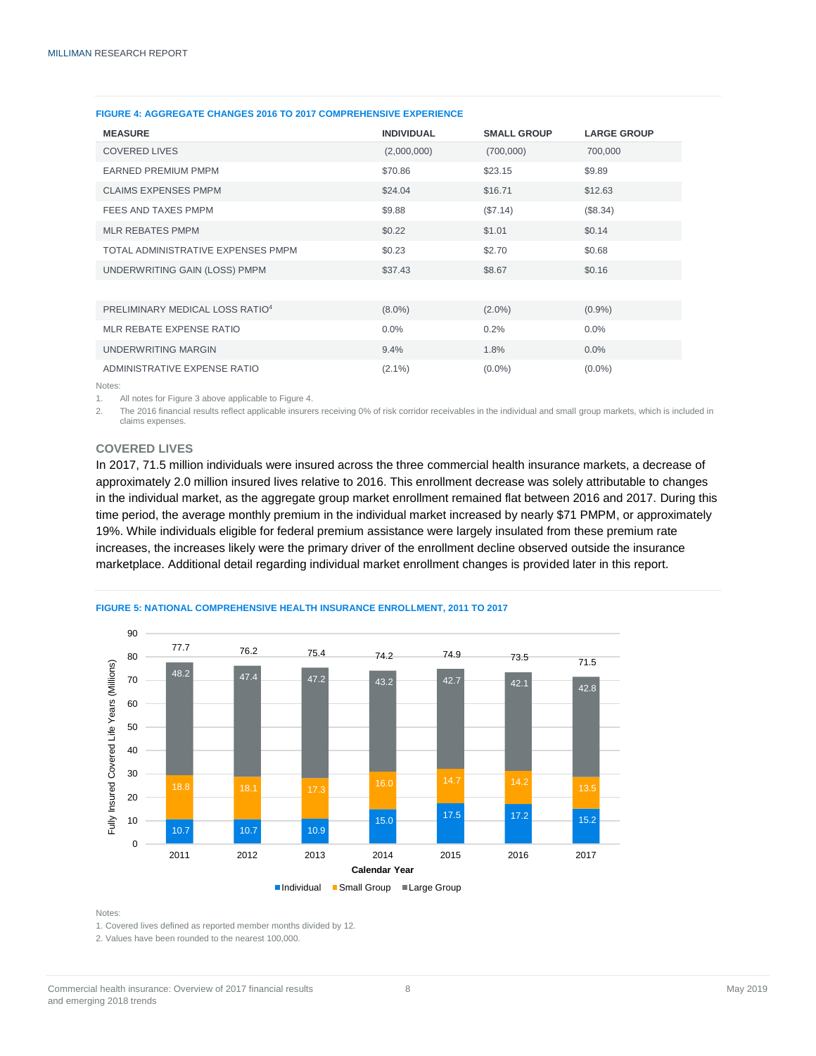| <b>MEASURE</b>                              | <b>INDIVIDUAL</b> | <b>SMALL GROUP</b> | <b>LARGE GROUP</b> |
|---------------------------------------------|-------------------|--------------------|--------------------|
| <b>COVERED LIVES</b>                        | (2,000,000)       | (700,000)          | 700,000            |
| <b>EARNED PREMIUM PMPM</b>                  | \$70.86           | \$23.15            | \$9.89             |
| <b>CLAIMS EXPENSES PMPM</b>                 | \$24.04           | \$16.71            | \$12.63            |
| FEES AND TAXES PMPM                         | \$9.88            | (\$7.14)           | (\$8.34)           |
| <b>MLR REBATES PMPM</b>                     | \$0.22            | \$1.01             | \$0.14             |
| TOTAL ADMINISTRATIVE EXPENSES PMPM          | \$0.23            | \$2.70             | \$0.68             |
| UNDERWRITING GAIN (LOSS) PMPM               | \$37.43           | \$8.67             | \$0.16             |
|                                             |                   |                    |                    |
| PRELIMINARY MEDICAL LOSS RATIO <sup>4</sup> | $(8.0\%)$         | $(2.0\%)$          | $(0.9\%)$          |
| MLR REBATE EXPENSE RATIO                    | $0.0\%$           | 0.2%               | 0.0%               |
| UNDERWRITING MARGIN                         | 9.4%              | 1.8%               | 0.0%               |
| ADMINISTRATIVE EXPENSE RATIO                | $(2.1\%)$         | $(0.0\%)$          | $(0.0\%)$          |

#### **FIGURE 4: AGGREGATE CHANGES 2016 TO 2017 COMPREHENSIVE EXPERIENCE**

Notes:

1. All notes for Figure 3 above applicable to Figure 4.

2. The 2016 financial results reflect applicable insurers receiving 0% of risk corridor receivables in the individual and small group markets, which is included in claims expenses.

#### <span id="page-7-0"></span>**COVERED LIVES**

In 2017, 71.5 million individuals were insured across the three commercial health insurance markets, a decrease of approximately 2.0 million insured lives relative to 2016. This enrollment decrease was solely attributable to changes in the individual market, as the aggregate group market enrollment remained flat between 2016 and 2017. During this time period, the average monthly premium in the individual market increased by nearly \$71 PMPM, or approximately 19%. While individuals eligible for federal premium assistance were largely insulated from these premium rate increases, the increases likely were the primary driver of the enrollment decline observed outside the insurance marketplace. Additional detail regarding individual market enrollment changes is provided later in this report.



#### **FIGURE 5: NATIONAL COMPREHENSIVE HEALTH INSURANCE ENROLLMENT, 2011 TO 2017**

Notes:

1. Covered lives defined as reported member months divided by 12.

2. Values have been rounded to the nearest 100,000.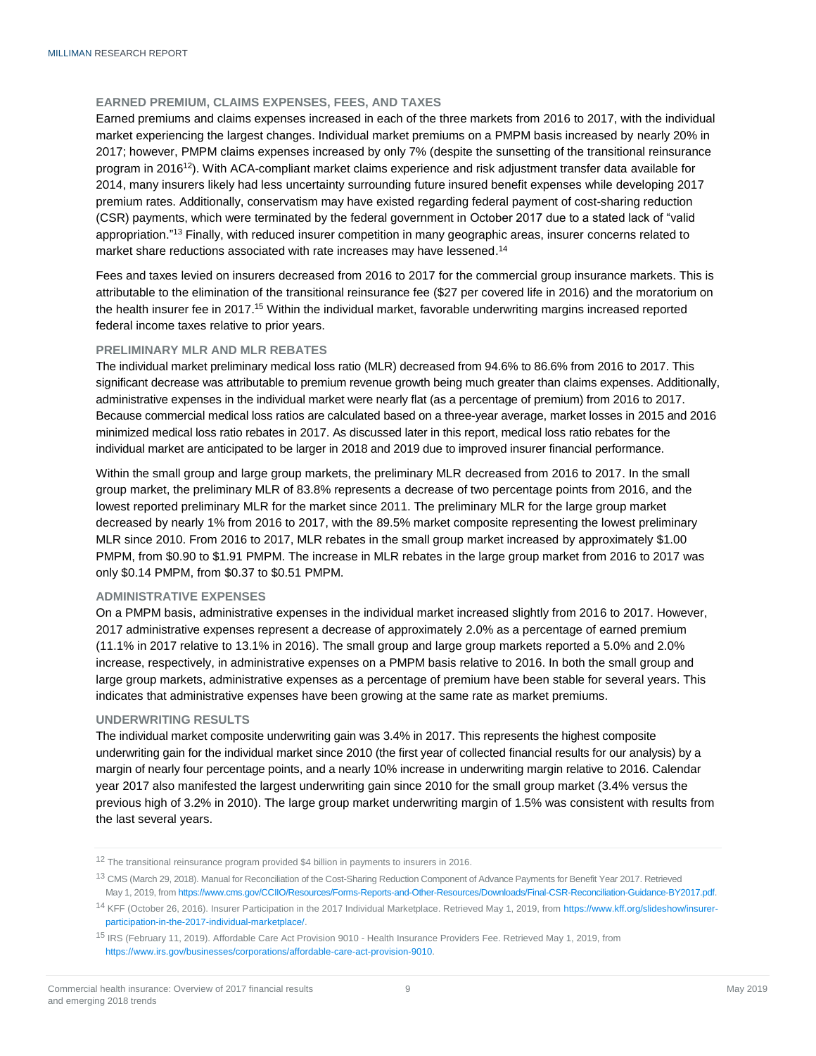#### <span id="page-8-0"></span>**EARNED PREMIUM, CLAIMS EXPENSES, FEES, AND TAXES**

Earned premiums and claims expenses increased in each of the three markets from 2016 to 2017, with the individual market experiencing the largest changes. Individual market premiums on a PMPM basis increased by nearly 20% in 2017; however, PMPM claims expenses increased by only 7% (despite the sunsetting of the transitional reinsurance program in 2016<sup>12</sup>). With ACA-compliant market claims experience and risk adjustment transfer data available for 2014, many insurers likely had less uncertainty surrounding future insured benefit expenses while developing 2017 premium rates. Additionally, conservatism may have existed regarding federal payment of cost-sharing reduction (CSR) payments, which were terminated by the federal government in October 2017 due to a stated lack of "valid appropriation."<sup>13</sup> Finally, with reduced insurer competition in many geographic areas, insurer concerns related to market share reductions associated with rate increases may have lessened.<sup>14</sup>

Fees and taxes levied on insurers decreased from 2016 to 2017 for the commercial group insurance markets. This is attributable to the elimination of the transitional reinsurance fee (\$27 per covered life in 2016) and the moratorium on the health insurer fee in 2017.<sup>15</sup> Within the individual market, favorable underwriting margins increased reported federal income taxes relative to prior years.

#### <span id="page-8-1"></span>**PRELIMINARY MLR AND MLR REBATES**

The individual market preliminary medical loss ratio (MLR) decreased from 94.6% to 86.6% from 2016 to 2017. This significant decrease was attributable to premium revenue growth being much greater than claims expenses. Additionally, administrative expenses in the individual market were nearly flat (as a percentage of premium) from 2016 to 2017. Because commercial medical loss ratios are calculated based on a three-year average, market losses in 2015 and 2016 minimized medical loss ratio rebates in 2017. As discussed later in this report, medical loss ratio rebates for the individual market are anticipated to be larger in 2018 and 2019 due to improved insurer financial performance.

Within the small group and large group markets, the preliminary MLR decreased from 2016 to 2017. In the small group market, the preliminary MLR of 83.8% represents a decrease of two percentage points from 2016, and the lowest reported preliminary MLR for the market since 2011. The preliminary MLR for the large group market decreased by nearly 1% from 2016 to 2017, with the 89.5% market composite representing the lowest preliminary MLR since 2010. From 2016 to 2017, MLR rebates in the small group market increased by approximately \$1.00 PMPM, from \$0.90 to \$1.91 PMPM. The increase in MLR rebates in the large group market from 2016 to 2017 was only \$0.14 PMPM, from \$0.37 to \$0.51 PMPM.

#### <span id="page-8-2"></span>**ADMINISTRATIVE EXPENSES**

On a PMPM basis, administrative expenses in the individual market increased slightly from 2016 to 2017. However, 2017 administrative expenses represent a decrease of approximately 2.0% as a percentage of earned premium (11.1% in 2017 relative to 13.1% in 2016). The small group and large group markets reported a 5.0% and 2.0% increase, respectively, in administrative expenses on a PMPM basis relative to 2016. In both the small group and large group markets, administrative expenses as a percentage of premium have been stable for several years. This indicates that administrative expenses have been growing at the same rate as market premiums.

#### <span id="page-8-3"></span>**UNDERWRITING RESULTS**

The individual market composite underwriting gain was 3.4% in 2017. This represents the highest composite underwriting gain for the individual market since 2010 (the first year of collected financial results for our analysis) by a margin of nearly four percentage points, and a nearly 10% increase in underwriting margin relative to 2016. Calendar year 2017 also manifested the largest underwriting gain since 2010 for the small group market (3.4% versus the previous high of 3.2% in 2010). The large group market underwriting margin of 1.5% was consistent with results from the last several years.

<sup>12</sup> The transitional reinsurance program provided \$4 billion in payments to insurers in 2016.

<sup>&</sup>lt;sup>13</sup> CMS (March 29, 2018). Manual for Reconciliation of the Cost-Sharing Reduction Component of Advance Payments for Benefit Year 2017. Retrieved May 1, 2019, fro[m https://www.cms.gov/CCIIO/Resources/Forms-Reports-and-Other-Resources/Downloads/Final-CSR-Reconciliation-Guidance-BY2017.pdf.](https://www.cms.gov/CCIIO/Resources/Forms-Reports-and-Other-Resources/Downloads/Final-CSR-Reconciliation-Guidance-BY2017.pdf)

<sup>&</sup>lt;sup>14</sup> KFF (October 26, 2016). Insurer Participation in the 2017 Individual Marketplace. Retrieved May 1, 2019, from [https://www.kff.org/slideshow/insurer](https://www.kff.org/slideshow/insurer-participation-in-the-2017-individual-marketplace/)[participation-in-the-2017-individual-marketplace/.](https://www.kff.org/slideshow/insurer-participation-in-the-2017-individual-marketplace/)

<sup>15</sup> IRS (February 11, 2019). Affordable Care Act Provision 9010 - Health Insurance Providers Fee. Retrieved May 1, 2019, from [https://www.irs.gov/businesses/corporations/affordable-care-act-provision-9010.](https://www.irs.gov/businesses/corporations/affordable-care-act-provision-9010)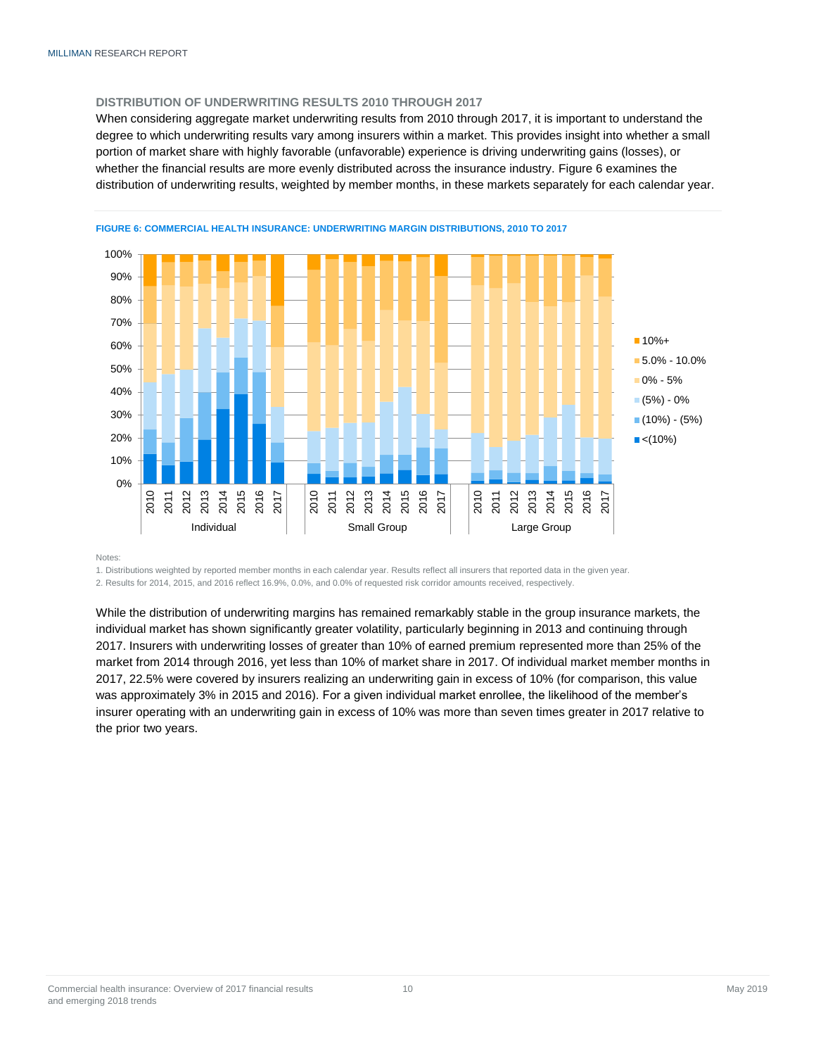#### <span id="page-9-0"></span>**DISTRIBUTION OF UNDERWRITING RESULTS 2010 THROUGH 2017**

When considering aggregate market underwriting results from 2010 through 2017, it is important to understand the degree to which underwriting results vary among insurers within a market. This provides insight into whether a small portion of market share with highly favorable (unfavorable) experience is driving underwriting gains (losses), or whether the financial results are more evenly distributed across the insurance industry. Figure 6 examines the distribution of underwriting results, weighted by member months, in these markets separately for each calendar year.



**Notes** 

1. Distributions weighted by reported member months in each calendar year. Results reflect all insurers that reported data in the given year.

2. Results for 2014, 2015, and 2016 reflect 16.9%, 0.0%, and 0.0% of requested risk corridor amounts received, respectively.

<span id="page-9-1"></span>While the distribution of underwriting margins has remained remarkably stable in the group insurance markets, the individual market has shown significantly greater volatility, particularly beginning in 2013 and continuing through 2017. Insurers with underwriting losses of greater than 10% of earned premium represented more than 25% of the market from 2014 through 2016, yet less than 10% of market share in 2017. Of individual market member months in 2017, 22.5% were covered by insurers realizing an underwriting gain in excess of 10% (for comparison, this value was approximately 3% in 2015 and 2016). For a given individual market enrollee, the likelihood of the member's insurer operating with an underwriting gain in excess of 10% was more than seven times greater in 2017 relative to the prior two years.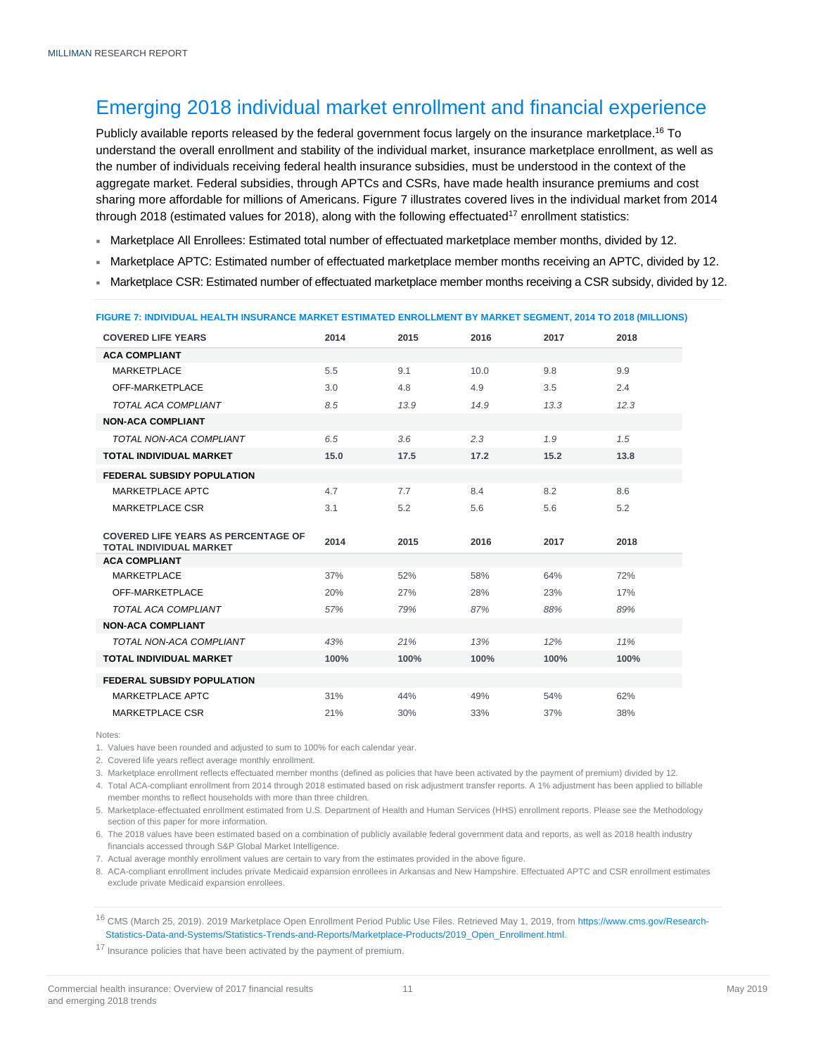## Emerging 2018 individual market enrollment and financial experience

Publicly available reports released by the federal government focus largely on the insurance marketplace.<sup>16</sup> To understand the overall enrollment and stability of the individual market, insurance marketplace enrollment, as well as the number of individuals receiving federal health insurance subsidies, must be understood in the context of the aggregate market. Federal subsidies, through APTCs and CSRs, have made health insurance premiums and cost sharing more affordable for millions of Americans. Figure 7 illustrates covered lives in the individual market from 2014 through 2018 (estimated values for 2018), along with the following effectuated<sup>17</sup> enrollment statistics:

- Marketplace All Enrollees: Estimated total number of effectuated marketplace member months, divided by 12.
- Marketplace APTC: Estimated number of effectuated marketplace member months receiving an APTC, divided by 12.
- Marketplace CSR: Estimated number of effectuated marketplace member months receiving a CSR subsidy, divided by 12.

|                                                                              |      |      |      |      | <b>FIGURE 7: INDIVIDUAL HEALTH INSURANCE MARKET ESTIMATED ENROLLMENT BY MARKET SEGMENT, 2014 TO 2018 (MILLIONS)</b> |
|------------------------------------------------------------------------------|------|------|------|------|---------------------------------------------------------------------------------------------------------------------|
| <b>COVERED LIFE YEARS</b>                                                    | 2014 | 2015 | 2016 | 2017 | 2018                                                                                                                |
| <b>ACA COMPLIANT</b>                                                         |      |      |      |      |                                                                                                                     |
| <b>MARKETPLACE</b>                                                           | 5.5  | 9.1  | 10.0 | 9.8  | 9.9                                                                                                                 |
| OFF-MARKETPLACE                                                              | 3.0  | 4.8  | 4.9  | 3.5  | 2.4                                                                                                                 |
| TOTAL ACA COMPLIANT                                                          | 8.5  | 13.9 | 14.9 | 13.3 | 12.3                                                                                                                |
| <b>NON-ACA COMPLIANT</b>                                                     |      |      |      |      |                                                                                                                     |
| TOTAL NON-ACA COMPLIANT                                                      | 6.5  | 3.6  | 2.3  | 1.9  | 1.5                                                                                                                 |
| <b>TOTAL INDIVIDUAL MARKET</b>                                               | 15.0 | 17.5 | 17.2 | 15.2 | 13.8                                                                                                                |
| <b>FEDERAL SUBSIDY POPULATION</b>                                            |      |      |      |      |                                                                                                                     |
| MARKETPLACE APTC                                                             | 4.7  | 7.7  | 8.4  | 8.2  | 8.6                                                                                                                 |
| <b>MARKETPLACE CSR</b>                                                       | 3.1  | 5.2  | 5.6  | 5.6  | 5.2                                                                                                                 |
| <b>COVERED LIFE YEARS AS PERCENTAGE OF</b><br><b>TOTAL INDIVIDUAL MARKET</b> | 2014 | 2015 | 2016 | 2017 | 2018                                                                                                                |
| <b>ACA COMPLIANT</b>                                                         |      |      |      |      |                                                                                                                     |
| MARKETPLACE                                                                  | 37%  | 52%  | 58%  | 64%  | <b>72%</b>                                                                                                          |
| OFF-MARKETPLACE                                                              | 20%  | 27%  | 28%  | 23%  | 17%                                                                                                                 |
| TOTAL ACA COMPLIANT                                                          | 57%  | 79%  | 87%  | 88%  | 89%                                                                                                                 |
| <b>NON-ACA COMPLIANT</b>                                                     |      |      |      |      |                                                                                                                     |
| TOTAL NON-ACA COMPLIANT                                                      | 43%  | 21%  | 13%  | 12%  | 11%                                                                                                                 |
| TOTAL INDIVIDUAL MARKET                                                      | 100% | 100% | 100% | 100% | 100%                                                                                                                |
| <b>FEDERAL SUBSIDY POPULATION</b>                                            |      |      |      |      |                                                                                                                     |
| <b>MARKETPLACE APTC</b>                                                      | 31%  | 44%  | 49%  | 54%  | 62%                                                                                                                 |
| MARKETPLACE CSR                                                              | 21%  | 30%  | 33%  | 37%  | 38%                                                                                                                 |

#### **FIGURE 7: INDIVIDUAL HEALTH INSURANCE MARKET ESTIMATED ENROLLMENT BY MARKET SEGMENT, 2014 TO 2018 (MILLIONS)**

Notes:

1. Values have been rounded and adjusted to sum to 100% for each calendar year.

2. Covered life years reflect average monthly enrollment.

3. Marketplace enrollment reflects effectuated member months (defined as policies that have been activated by the payment of premium) divided by 12.

4. Total ACA-compliant enrollment from 2014 through 2018 estimated based on risk adjustment transfer reports. A 1% adjustment has been applied to billable member months to reflect households with more than three children.

5. Marketplace-effectuated enrollment estimated from U.S. Department of Health and Human Services (HHS) enrollment reports. Please see the Methodology section of this paper for more information.

6. The 2018 values have been estimated based on a combination of publicly available federal government data and reports, as well as 2018 health industry financials accessed through S&P Global Market Intelligence.

7. Actual average monthly enrollment values are certain to vary from the estimates provided in the above figure.

8. ACA-compliant enrollment includes private Medicaid expansion enrollees in Arkansas and New Hampshire. Effectuated APTC and CSR enrollment estimates exclude private Medicaid expansion enrollees.

<sup>16</sup> CMS (March 25, 2019). 2019 Marketplace Open Enrollment Period Public Use Files. Retrieved May 1, 2019, from [https://www.cms.gov/Research-](https://www.cms.gov/Research-Statistics-Data-and-Systems/Statistics-Trends-and-Reports/Marketplace-Products/2019_Open_Enrollment.html)[Statistics-Data-and-Systems/Statistics-Trends-and-Reports/Marketplace-Products/2019\\_Open\\_Enrollment.html.](https://www.cms.gov/Research-Statistics-Data-and-Systems/Statistics-Trends-and-Reports/Marketplace-Products/2019_Open_Enrollment.html)

<sup>17</sup> Insurance policies that have been activated by the payment of premium.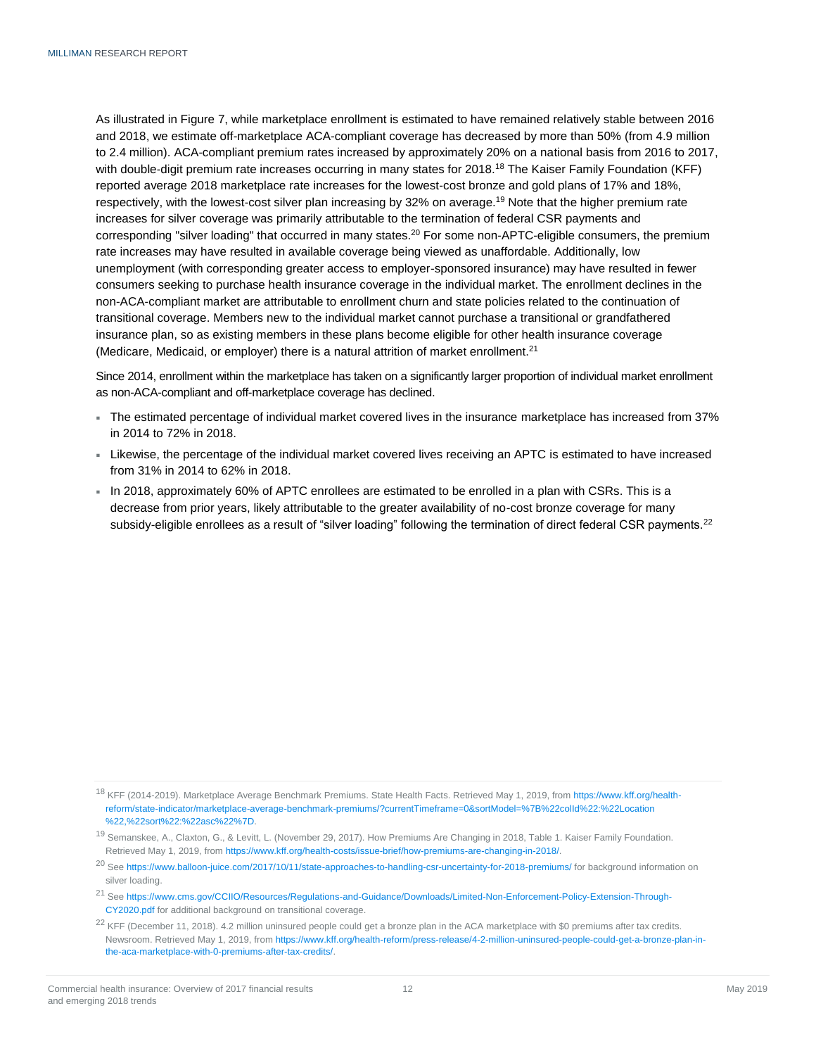As illustrated in Figure 7, while marketplace enrollment is estimated to have remained relatively stable between 2016 and 2018, we estimate off-marketplace ACA-compliant coverage has decreased by more than 50% (from 4.9 million to 2.4 million). ACA-compliant premium rates increased by approximately 20% on a national basis from 2016 to 2017, with double-digit premium rate increases occurring in many states for 2018.<sup>18</sup> The Kaiser Family Foundation (KFF) reported average 2018 marketplace rate increases for the lowest-cost bronze and gold plans of 17% and 18%. respectively, with the lowest-cost silver plan increasing by 32% on average.<sup>19</sup> Note that the higher premium rate increases for silver coverage was primarily attributable to the termination of federal CSR payments and corresponding "silver loading" that occurred in many states.<sup>20</sup> For some non-APTC-eligible consumers, the premium rate increases may have resulted in available coverage being viewed as unaffordable. Additionally, low unemployment (with corresponding greater access to employer-sponsored insurance) may have resulted in fewer consumers seeking to purchase health insurance coverage in the individual market. The enrollment declines in the non-ACA-compliant market are attributable to enrollment churn and state policies related to the continuation of transitional coverage. Members new to the individual market cannot purchase a transitional or grandfathered insurance plan, so as existing members in these plans become eligible for other health insurance coverage (Medicare, Medicaid, or employer) there is a natural attrition of market enrollment.<sup>21</sup>

Since 2014, enrollment within the marketplace has taken on a significantly larger proportion of individual market enrollment as non-ACA-compliant and off-marketplace coverage has declined.

- The estimated percentage of individual market covered lives in the insurance marketplace has increased from 37% in 2014 to 72% in 2018.
- Likewise, the percentage of the individual market covered lives receiving an APTC is estimated to have increased from 31% in 2014 to 62% in 2018.
- In 2018, approximately 60% of APTC enrollees are estimated to be enrolled in a plan with CSRs. This is a decrease from prior years, likely attributable to the greater availability of no-cost bronze coverage for many subsidy-eligible enrollees as a result of "silver loading" following the termination of direct federal CSR payments.<sup>22</sup>

<sup>&</sup>lt;sup>18</sup> KFF (2014-2019). Marketplace Average Benchmark Premiums. State Health Facts. Retrieved May 1, 2019, fro[m https://www.kff.org/health](https://www.kff.org/health-reform/state-indicator/marketplace-average-benchmark-premiums/?currentTimeframe=0&sortModel=%7B%22colId%22:%22Location%22,%22sort%22:%22asc%22%7D)[reform/state-indicator/marketplace-average-benchmark-premiums/?currentTimeframe=0&sortModel=%7B%22colId%22:%22Location](https://www.kff.org/health-reform/state-indicator/marketplace-average-benchmark-premiums/?currentTimeframe=0&sortModel=%7B%22colId%22:%22Location%22,%22sort%22:%22asc%22%7D) [%22,%22sort%22:%22asc%22%7D.](https://www.kff.org/health-reform/state-indicator/marketplace-average-benchmark-premiums/?currentTimeframe=0&sortModel=%7B%22colId%22:%22Location%22,%22sort%22:%22asc%22%7D)

<sup>19</sup> Semanskee, A., Claxton, G., & Levitt, L. (November 29, 2017). How Premiums Are Changing in 2018, Table 1. Kaiser Family Foundation. Retrieved May 1, 2019, fro[m https://www.kff.org/health-costs/issue-brief/how-premiums-are-changing-in-2018/.](https://www.kff.org/health-costs/issue-brief/how-premiums-are-changing-in-2018/)

<sup>&</sup>lt;sup>20</sup> Se[e https://www.balloon-juice.com/2017/10/11/state-approaches-to-handling-csr-uncertainty-for-2018-premiums/](https://www.balloon-juice.com/2017/10/11/state-approaches-to-handling-csr-uncertainty-for-2018-premiums/) for background information on silver loading.

<sup>21</sup> Se[e https://www.cms.gov/CCIIO/Resources/Regulations-and-Guidance/Downloads/Limited-Non-Enforcement-Policy-Extension-Through-](https://www.cms.gov/CCIIO/Resources/Regulations-and-Guidance/Downloads/Limited-Non-Enforcement-Policy-Extension-Through-CY2020.pdf)[CY2020.pdf](https://www.cms.gov/CCIIO/Resources/Regulations-and-Guidance/Downloads/Limited-Non-Enforcement-Policy-Extension-Through-CY2020.pdf) for additional background on transitional coverage.

<sup>&</sup>lt;sup>22</sup> KFF (December 11, 2018). 4.2 million uninsured people could get a bronze plan in the ACA marketplace with \$0 premiums after tax credits. Newsroom. Retrieved May 1, 2019, from [https://www.kff.org/health-reform/press-release/4-2-million-uninsured-people-could-get-a-bronze-plan-in](https://www.kff.org/health-reform/press-release/4-2-million-uninsured-people-could-get-a-bronze-plan-in-the-aca-marketplace-with-0-premiums-after-tax-credits/)[the-aca-marketplace-with-0-premiums-after-tax-credits/.](https://www.kff.org/health-reform/press-release/4-2-million-uninsured-people-could-get-a-bronze-plan-in-the-aca-marketplace-with-0-premiums-after-tax-credits/)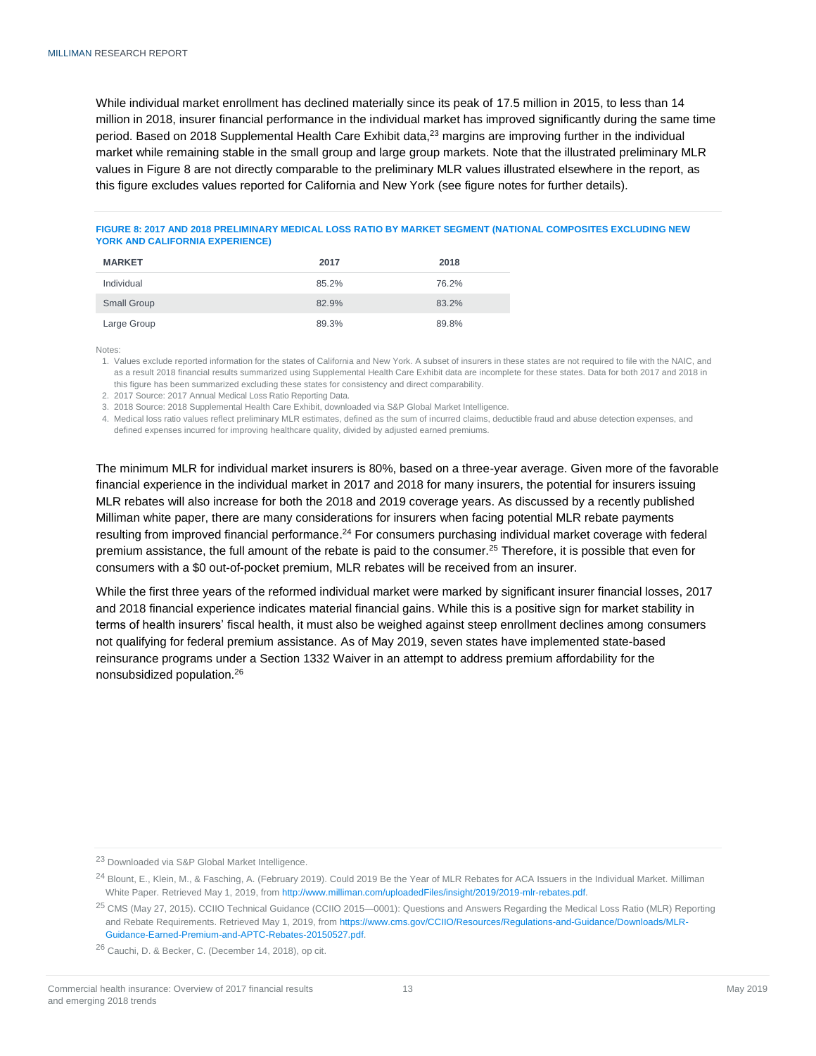While individual market enrollment has declined materially since its peak of 17.5 million in 2015, to less than 14 million in 2018, insurer financial performance in the individual market has improved significantly during the same time period. Based on 2018 Supplemental Health Care Exhibit data,<sup>23</sup> margins are improving further in the individual market while remaining stable in the small group and large group markets. Note that the illustrated preliminary MLR values in Figure 8 are not directly comparable to the preliminary MLR values illustrated elsewhere in the report, as this figure excludes values reported for California and New York (see figure notes for further details).

#### **FIGURE 8: 2017 AND 2018 PRELIMINARY MEDICAL LOSS RATIO BY MARKET SEGMENT (NATIONAL COMPOSITES EXCLUDING NEW YORK AND CALIFORNIA EXPERIENCE)**

| <b>MARKET</b> | 2017  | 2018  |
|---------------|-------|-------|
| Individual    | 85.2% | 76.2% |
| Small Group   | 82.9% | 83.2% |
| Large Group   | 89.3% | 89.8% |

Notes:

1. Values exclude reported information for the states of California and New York. A subset of insurers in these states are not required to file with the NAIC, and as a result 2018 financial results summarized using Supplemental Health Care Exhibit data are incomplete for these states. Data for both 2017 and 2018 in this figure has been summarized excluding these states for consistency and direct comparability.

2. 2017 Source: 2017 Annual Medical Loss Ratio Reporting Data.

3. 2018 Source: 2018 Supplemental Health Care Exhibit, downloaded via S&P Global Market Intelligence.

4. Medical loss ratio values reflect preliminary MLR estimates, defined as the sum of incurred claims, deductible fraud and abuse detection expenses, and defined expenses incurred for improving healthcare quality, divided by adjusted earned premiums.

The minimum MLR for individual market insurers is 80%, based on a three-year average. Given more of the favorable financial experience in the individual market in 2017 and 2018 for many insurers, the potential for insurers issuing MLR rebates will also increase for both the 2018 and 2019 coverage years. As discussed by a recently published Milliman white paper, there are many considerations for insurers when facing potential MLR rebate payments resulting from improved financial performance.<sup>24</sup> For consumers purchasing individual market coverage with federal premium assistance, the full amount of the rebate is paid to the consumer.<sup>25</sup> Therefore, it is possible that even for consumers with a \$0 out-of-pocket premium, MLR rebates will be received from an insurer.

While the first three years of the reformed individual market were marked by significant insurer financial losses, 2017 and 2018 financial experience indicates material financial gains. While this is a positive sign for market stability in terms of health insurers' fiscal health, it must also be weighed against steep enrollment declines among consumers not qualifying for federal premium assistance. As of May 2019, seven states have implemented state-based reinsurance programs under a Section 1332 Waiver in an attempt to address premium affordability for the nonsubsidized population.<sup>26</sup>

<sup>23</sup> Downloaded via S&P Global Market Intelligence.

<sup>24</sup> Blount, E., Klein, M., & Fasching, A. (February 2019). Could 2019 Be the Year of MLR Rebates for ACA Issuers in the Individual Market. Milliman White Paper. Retrieved May 1, 2019, from [http://www.milliman.com/uploadedFiles/insight/2019/2019-mlr-rebates.pdf.](http://www.milliman.com/uploadedFiles/insight/2019/2019-mlr-rebates.pdf)

<sup>&</sup>lt;sup>25</sup> CMS (May 27, 2015). CCIIO Technical Guidance (CCIIO 2015-0001): Questions and Answers Regarding the Medical Loss Ratio (MLR) Reporting and Rebate Requirements. Retrieved May 1, 2019, from [https://www.cms.gov/CCIIO/Resources/Regulations-and-Guidance/Downloads/MLR-](https://www.cms.gov/CCIIO/Resources/Regulations-and-Guidance/Downloads/MLR-Guidance-Earned-Premium-and-APTC-Rebates-20150527.pdf)[Guidance-Earned-Premium-and-APTC-Rebates-20150527.pdf.](https://www.cms.gov/CCIIO/Resources/Regulations-and-Guidance/Downloads/MLR-Guidance-Earned-Premium-and-APTC-Rebates-20150527.pdf)

<sup>26</sup> Cauchi, D. & Becker, C. (December 14, 2018), op cit.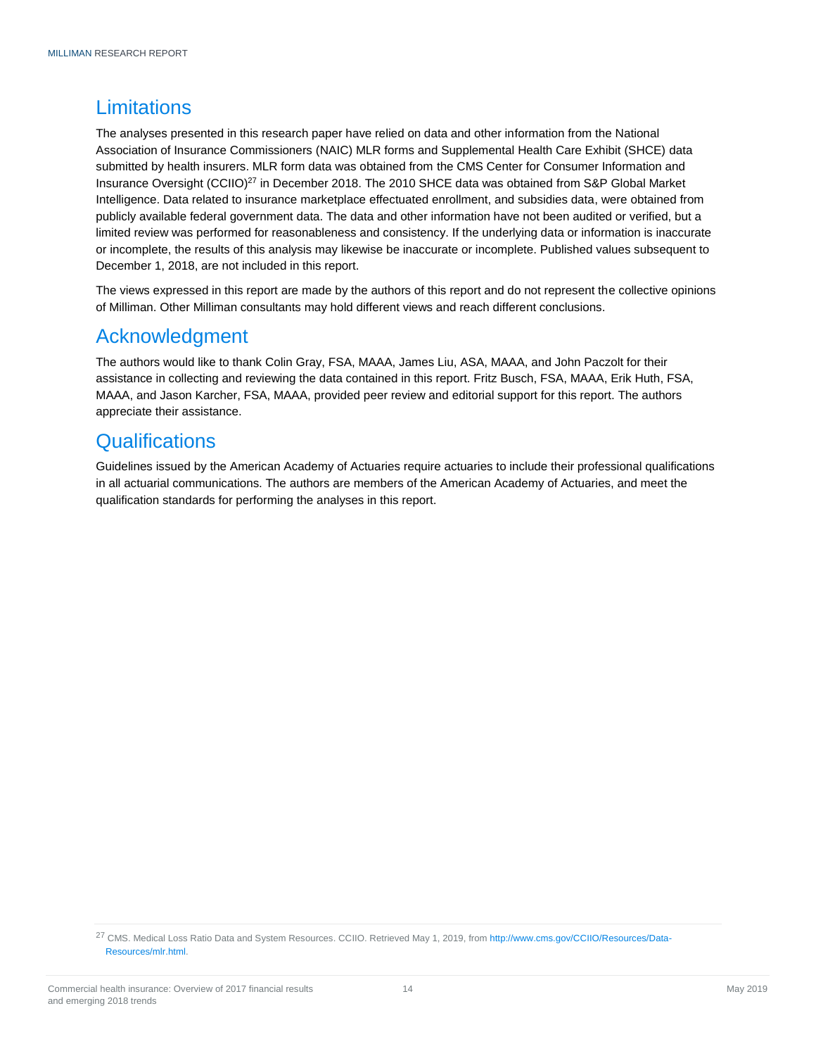# <span id="page-13-0"></span>**Limitations**

The analyses presented in this research paper have relied on data and other information from the National Association of Insurance Commissioners (NAIC) MLR forms and Supplemental Health Care Exhibit (SHCE) data submitted by health insurers. MLR form data was obtained from the CMS Center for Consumer Information and Insurance Oversight (CCIIO)<sup>27</sup> in December 2018. The 2010 SHCE data was obtained from S&P Global Market Intelligence. Data related to insurance marketplace effectuated enrollment, and subsidies data, were obtained from publicly available federal government data. The data and other information have not been audited or verified, but a limited review was performed for reasonableness and consistency. If the underlying data or information is inaccurate or incomplete, the results of this analysis may likewise be inaccurate or incomplete. Published values subsequent to December 1, 2018, are not included in this report.

The views expressed in this report are made by the authors of this report and do not represent the collective opinions of Milliman. Other Milliman consultants may hold different views and reach different conclusions.

## <span id="page-13-1"></span>Acknowledgment

The authors would like to thank Colin Gray, FSA, MAAA, James Liu, ASA, MAAA, and John Paczolt for their assistance in collecting and reviewing the data contained in this report. Fritz Busch, FSA, MAAA, Erik Huth, FSA, MAAA, and Jason Karcher, FSA, MAAA, provided peer review and editorial support for this report. The authors appreciate their assistance.

# <span id="page-13-2"></span>**Qualifications**

Guidelines issued by the American Academy of Actuaries require actuaries to include their professional qualifications in all actuarial communications. The authors are members of the American Academy of Actuaries, and meet the qualification standards for performing the analyses in this report.

<sup>&</sup>lt;sup>27</sup> CMS. Medical Loss Ratio Data and System Resources. CCIIO. Retrieved May 1, 2019, fro[m http://www.cms.gov/CCIIO/Resources/Data-](http://www.cms.gov/CCIIO/Resources/Data-Resources/mlr.html)[Resources/mlr.html.](http://www.cms.gov/CCIIO/Resources/Data-Resources/mlr.html)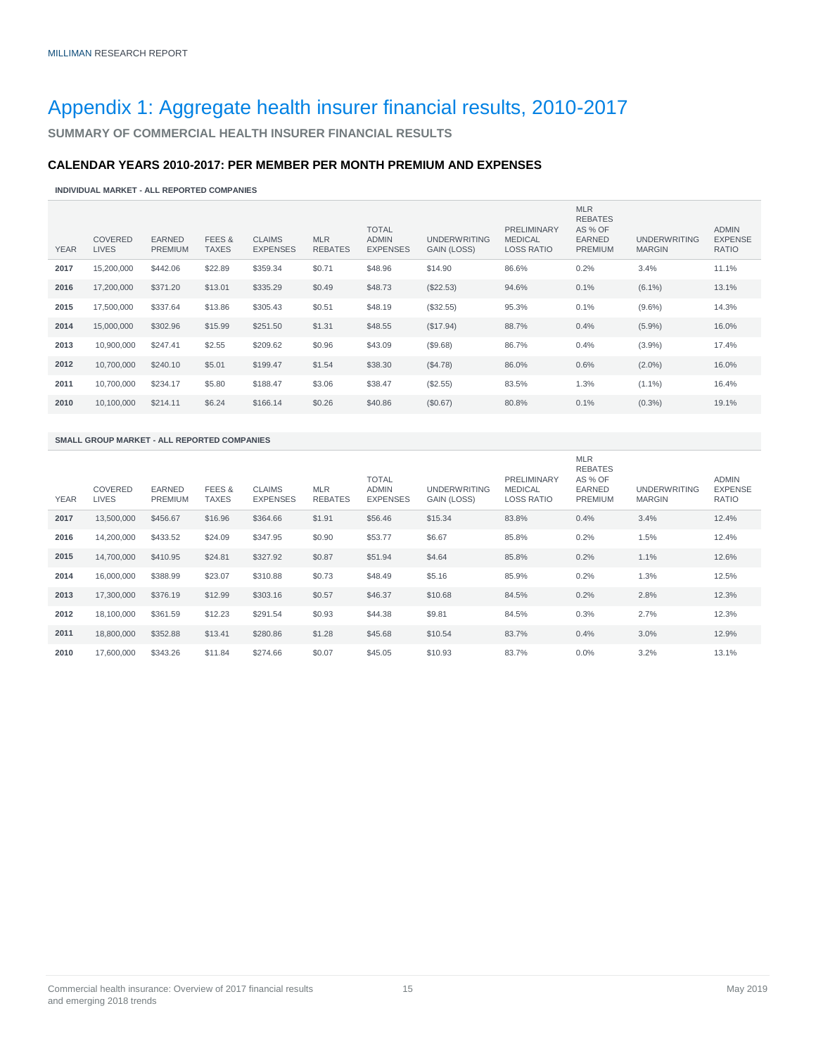# <span id="page-14-0"></span>Appendix 1: Aggregate health insurer financial results, 2010-2017

<span id="page-14-1"></span>**SUMMARY OF COMMERCIAL HEALTH INSURER FINANCIAL RESULTS**

#### **CALENDAR YEARS 2010-2017: PER MEMBER PER MONTH PREMIUM AND EXPENSES**

**INDIVIDUAL MARKET - ALL REPORTED COMPANIES**

| <b>YEAR</b> | <b>COVERED</b><br><b>LIVES</b> | <b>EARNED</b><br><b>PREMIUM</b> | FEES &<br><b>TAXES</b> | <b>CLAIMS</b><br><b>EXPENSES</b> | <b>MLR</b><br><b>REBATES</b> | <b>TOTAL</b><br><b>ADMIN</b><br><b>EXPENSES</b> | <b>UNDERWRITING</b><br>GAIN (LOSS) | <b>PRELIMINARY</b><br><b>MEDICAL</b><br><b>LOSS RATIO</b> | <b>MLR</b><br><b>REBATES</b><br>AS % OF<br><b>EARNED</b><br><b>PREMIUM</b> | <b>UNDERWRITING</b><br><b>MARGIN</b> | <b>ADMIN</b><br><b>EXPENSE</b><br><b>RATIO</b> |
|-------------|--------------------------------|---------------------------------|------------------------|----------------------------------|------------------------------|-------------------------------------------------|------------------------------------|-----------------------------------------------------------|----------------------------------------------------------------------------|--------------------------------------|------------------------------------------------|
| 2017        | 15,200,000                     | \$442.06                        | \$22.89                | \$359.34                         | \$0.71                       | \$48.96                                         | \$14.90                            | 86.6%                                                     | 0.2%                                                                       | 3.4%                                 | 11.1%                                          |
| 2016        | 17,200,000                     | \$371.20                        | \$13.01                | \$335.29                         | \$0.49                       | \$48.73                                         | (\$22.53)                          | 94.6%                                                     | 0.1%                                                                       | $(6.1\%)$                            | 13.1%                                          |
| 2015        | 17,500,000                     | \$337.64                        | \$13.86                | \$305.43                         | \$0.51                       | \$48.19                                         | (\$32.55)                          | 95.3%                                                     | 0.1%                                                                       | $(9.6\%)$                            | 14.3%                                          |
| 2014        | 15,000,000                     | \$302.96                        | \$15.99                | \$251.50                         | \$1.31                       | \$48.55                                         | (\$17.94)                          | 88.7%                                                     | 0.4%                                                                       | $(5.9\%)$                            | 16.0%                                          |
| 2013        | 10,900,000                     | \$247.41                        | \$2.55                 | \$209.62                         | \$0.96                       | \$43.09                                         | (\$9.68)                           | 86.7%                                                     | 0.4%                                                                       | $(3.9\%)$                            | 17.4%                                          |
| 2012        | 10,700,000                     | \$240.10                        | \$5.01                 | \$199.47                         | \$1.54                       | \$38.30                                         | (\$4.78)                           | 86.0%                                                     | 0.6%                                                                       | $(2.0\%)$                            | 16.0%                                          |
| 2011        | 10,700,000                     | \$234.17                        | \$5.80                 | \$188.47                         | \$3.06                       | \$38.47                                         | (\$2.55)                           | 83.5%                                                     | 1.3%                                                                       | $(1.1\%)$                            | 16.4%                                          |
| 2010        | 10,100,000                     | \$214.11                        | \$6.24                 | \$166.14                         | \$0.26                       | \$40.86                                         | (\$0.67)                           | 80.8%                                                     | 0.1%                                                                       | $(0.3\%)$                            | 19.1%                                          |

#### **SMALL GROUP MARKET - ALL REPORTED COMPANIES**

| <b>YEAR</b> | <b>COVERED</b><br><b>LIVES</b> | <b>EARNED</b><br><b>PREMIUM</b> | FEES &<br><b>TAXES</b> | <b>CLAIMS</b><br><b>EXPENSES</b> | <b>MLR</b><br><b>REBATES</b> | <b>TOTAL</b><br><b>ADMIN</b><br><b>EXPENSES</b> | <b>UNDERWRITING</b><br><b>GAIN (LOSS)</b> | <b>PRELIMINARY</b><br><b>MEDICAL</b><br><b>LOSS RATIO</b> | <b>MLR</b><br><b>REBATES</b><br>AS % OF<br><b>EARNED</b><br><b>PREMIUM</b> | <b>UNDERWRITING</b><br><b>MARGIN</b> | <b>ADMIN</b><br><b>EXPENSE</b><br>RATIO |
|-------------|--------------------------------|---------------------------------|------------------------|----------------------------------|------------------------------|-------------------------------------------------|-------------------------------------------|-----------------------------------------------------------|----------------------------------------------------------------------------|--------------------------------------|-----------------------------------------|
| 2017        | 13,500,000                     | \$456.67                        | \$16.96                | \$364.66                         | \$1.91                       | \$56.46                                         | \$15.34                                   | 83.8%                                                     | 0.4%                                                                       | 3.4%                                 | 12.4%                                   |
| 2016        | 14,200,000                     | \$433.52                        | \$24.09                | \$347.95                         | \$0.90                       | \$53.77                                         | \$6.67                                    | 85.8%                                                     | 0.2%                                                                       | 1.5%                                 | 12.4%                                   |
| 2015        | 14,700,000                     | \$410.95                        | \$24.81                | \$327.92                         | \$0.87                       | \$51.94                                         | \$4.64                                    | 85.8%                                                     | 0.2%                                                                       | 1.1%                                 | 12.6%                                   |
| 2014        | 16,000,000                     | \$388.99                        | \$23.07                | \$310.88                         | \$0.73                       | \$48.49                                         | \$5.16                                    | 85.9%                                                     | 0.2%                                                                       | 1.3%                                 | 12.5%                                   |
| 2013        | 17,300,000                     | \$376.19                        | \$12.99                | \$303.16                         | \$0.57                       | \$46.37                                         | \$10.68                                   | 84.5%                                                     | 0.2%                                                                       | 2.8%                                 | 12.3%                                   |
| 2012        | 18,100,000                     | \$361.59                        | \$12.23                | \$291.54                         | \$0.93                       | \$44.38                                         | \$9.81                                    | 84.5%                                                     | 0.3%                                                                       | 2.7%                                 | 12.3%                                   |
| 2011        | 18,800,000                     | \$352.88                        | \$13.41                | \$280.86                         | \$1.28                       | \$45.68                                         | \$10.54                                   | 83.7%                                                     | 0.4%                                                                       | 3.0%                                 | 12.9%                                   |
| 2010        | 17.600.000                     | \$343.26                        | \$11.84                | \$274.66                         | \$0.07                       | \$45.05                                         | \$10.93                                   | 83.7%                                                     | $0.0\%$                                                                    | 3.2%                                 | 13.1%                                   |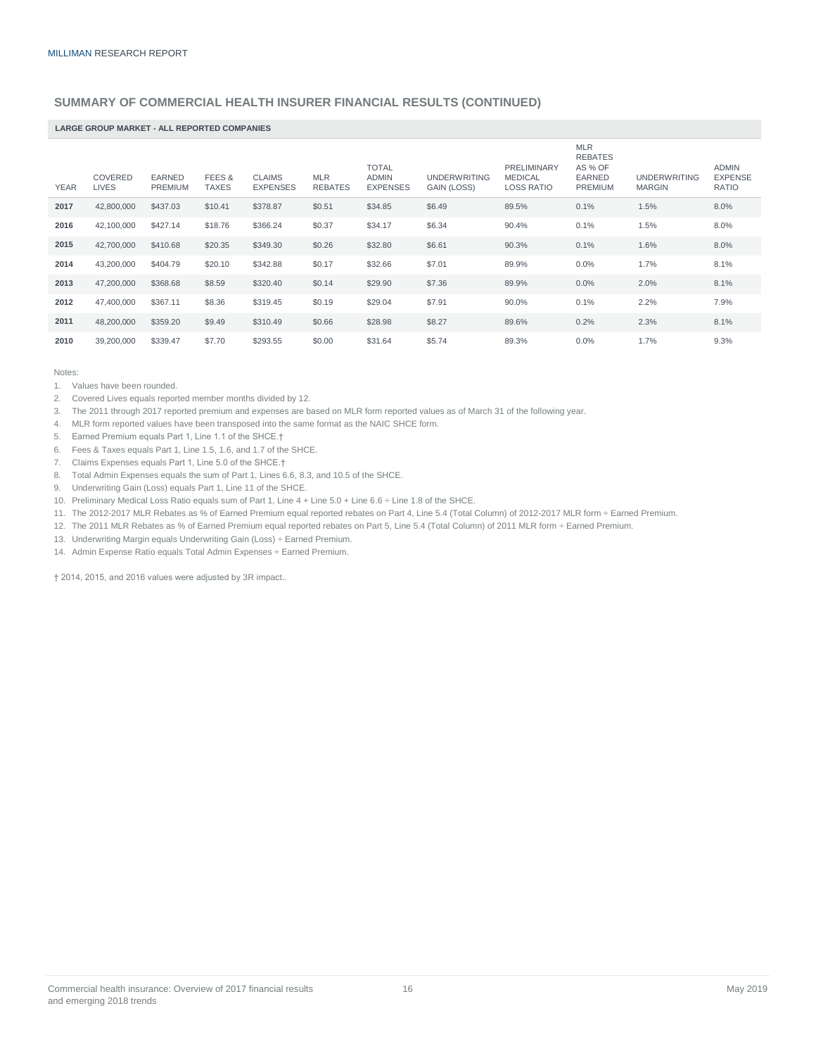#### **SUMMARY OF COMMERCIAL HEALTH INSURER FINANCIAL RESULTS (CONTINUED)**

#### **LARGE GROUP MARKET - ALL REPORTED COMPANIES**

| <b>YEAR</b> | COVERED<br><b>LIVES</b> | <b>EARNED</b><br><b>PREMIUM</b> | FEES &<br><b>TAXES</b> | <b>CLAIMS</b><br><b>EXPENSES</b> | <b>MLR</b><br><b>REBATES</b> | <b>TOTAL</b><br><b>ADMIN</b><br><b>EXPENSES</b> | <b>UNDERWRITING</b><br>GAIN (LOSS) | <b>PRELIMINARY</b><br><b>MEDICAL</b><br><b>LOSS RATIO</b> | <b>MLR</b><br><b>REBATES</b><br>AS % OF<br><b>EARNED</b><br><b>PREMIUM</b> | <b>UNDERWRITING</b><br><b>MARGIN</b> | <b>ADMIN</b><br><b>EXPENSE</b><br><b>RATIO</b> |
|-------------|-------------------------|---------------------------------|------------------------|----------------------------------|------------------------------|-------------------------------------------------|------------------------------------|-----------------------------------------------------------|----------------------------------------------------------------------------|--------------------------------------|------------------------------------------------|
| 2017        | 42,800,000              | \$437.03                        | \$10.41                | \$378.87                         | \$0.51                       | \$34.85                                         | \$6.49                             | 89.5%                                                     | 0.1%                                                                       | 1.5%                                 | 8.0%                                           |
| 2016        | 42,100,000              | \$427.14                        | \$18.76                | \$366.24                         | \$0.37                       | \$34.17                                         | \$6.34                             | 90.4%                                                     | 0.1%                                                                       | 1.5%                                 | 8.0%                                           |
| 2015        | 42,700,000              | \$410.68                        | \$20.35                | \$349.30                         | \$0.26                       | \$32.80                                         | \$6.61                             | 90.3%                                                     | 0.1%                                                                       | 1.6%                                 | 8.0%                                           |
| 2014        | 43,200,000              | \$404.79                        | \$20.10                | \$342.88                         | \$0.17                       | \$32.66                                         | \$7.01                             | 89.9%                                                     | 0.0%                                                                       | 1.7%                                 | 8.1%                                           |
| 2013        | 47,200,000              | \$368.68                        | \$8.59                 | \$320.40                         | \$0.14                       | \$29.90                                         | \$7.36                             | 89.9%                                                     | 0.0%                                                                       | 2.0%                                 | 8.1%                                           |
| 2012        | 47,400,000              | \$367.11                        | \$8.36                 | \$319.45                         | \$0.19                       | \$29.04                                         | \$7.91                             | 90.0%                                                     | 0.1%                                                                       | 2.2%                                 | 7.9%                                           |
| 2011        | 48,200,000              | \$359.20                        | \$9.49                 | \$310.49                         | \$0.66                       | \$28.98                                         | \$8.27                             | 89.6%                                                     | 0.2%                                                                       | 2.3%                                 | 8.1%                                           |
| 2010        | 39,200,000              | \$339.47                        | \$7.70                 | \$293.55                         | \$0.00                       | \$31.64                                         | \$5.74                             | 89.3%                                                     | 0.0%                                                                       | 1.7%                                 | 9.3%                                           |

Notes:

1. Values have been rounded.

2. Covered Lives equals reported member months divided by 12.

3. The 2011 through 2017 reported premium and expenses are based on MLR form reported values as of March 31 of the following year.

- 4. MLR form reported values have been transposed into the same format as the NAIC SHCE form.
- 5. Earned Premium equals Part 1, Line 1.1 of the SHCE.†
- 6. Fees & Taxes equals Part 1, Line 1.5, 1.6, and 1.7 of the SHCE.
- 7. Claims Expenses equals Part 1, Line 5.0 of the SHCE.†
- 8. Total Admin Expenses equals the sum of Part 1, Lines 6.6, 8.3, and 10.5 of the SHCE.
- 9. Underwriting Gain (Loss) equals Part 1, Line 11 of the SHCE.
- 10. Preliminary Medical Loss Ratio equals sum of Part 1, Line 4 + Line 5.0 + Line 6.6 ÷ Line 1.8 of the SHCE.
- 11. The 2012-2017 MLR Rebates as % of Earned Premium equal reported rebates on Part 4, Line 5.4 (Total Column) of 2012-2017 MLR form ÷ Earned Premium.
- 12. The 2011 MLR Rebates as % of Earned Premium equal reported rebates on Part 5, Line 5.4 (Total Column) of 2011 MLR form ÷ Earned Premium.
- 13. Underwriting Margin equals Underwriting Gain (Loss) ÷ Earned Premium.
- 14. Admin Expense Ratio equals Total Admin Expenses ÷ Earned Premium.

† 2014, 2015, and 2016 values were adjusted by 3R impact..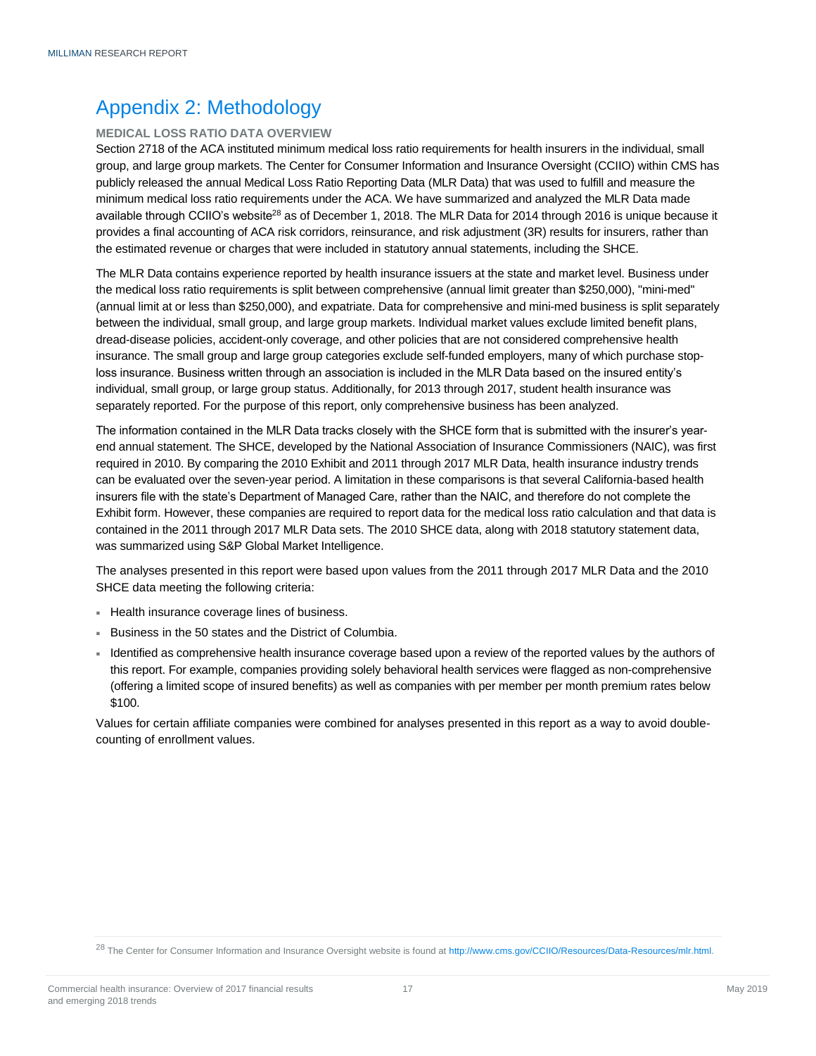# <span id="page-16-0"></span>Appendix 2: Methodology

#### <span id="page-16-1"></span>**MEDICAL LOSS RATIO DATA OVERVIEW**

Section 2718 of the ACA instituted minimum medical loss ratio requirements for health insurers in the individual, small group, and large group markets. The Center for Consumer Information and Insurance Oversight (CCIIO) within CMS has publicly released the annual Medical Loss Ratio Reporting Data (MLR Data) that was used to fulfill and measure the minimum medical loss ratio requirements under the ACA. We have summarized and analyzed the MLR Data made available through CCIIO's website<sup>28</sup> as of December 1, 2018. The MLR Data for 2014 through 2016 is unique because it provides a final accounting of ACA risk corridors, reinsurance, and risk adjustment (3R) results for insurers, rather than the estimated revenue or charges that were included in statutory annual statements, including the SHCE.

The MLR Data contains experience reported by health insurance issuers at the state and market level. Business under the medical loss ratio requirements is split between comprehensive (annual limit greater than \$250,000), "mini-med" (annual limit at or less than \$250,000), and expatriate. Data for comprehensive and mini-med business is split separately between the individual, small group, and large group markets. Individual market values exclude limited benefit plans, dread-disease policies, accident-only coverage, and other policies that are not considered comprehensive health insurance. The small group and large group categories exclude self-funded employers, many of which purchase stoploss insurance. Business written through an association is included in the MLR Data based on the insured entity's individual, small group, or large group status. Additionally, for 2013 through 2017, student health insurance was separately reported. For the purpose of this report, only comprehensive business has been analyzed.

The information contained in the MLR Data tracks closely with the SHCE form that is submitted with the insurer's yearend annual statement. The SHCE, developed by the National Association of Insurance Commissioners (NAIC), was first required in 2010. By comparing the 2010 Exhibit and 2011 through 2017 MLR Data, health insurance industry trends can be evaluated over the seven-year period. A limitation in these comparisons is that several California-based health insurers file with the state's Department of Managed Care, rather than the NAIC, and therefore do not complete the Exhibit form. However, these companies are required to report data for the medical loss ratio calculation and that data is contained in the 2011 through 2017 MLR Data sets. The 2010 SHCE data, along with 2018 statutory statement data, was summarized using S&P Global Market Intelligence.

The analyses presented in this report were based upon values from the 2011 through 2017 MLR Data and the 2010 SHCE data meeting the following criteria:

- Health insurance coverage lines of business.
- Business in the 50 states and the District of Columbia.
- Identified as comprehensive health insurance coverage based upon a review of the reported values by the authors of this report. For example, companies providing solely behavioral health services were flagged as non-comprehensive (offering a limited scope of insured benefits) as well as companies with per member per month premium rates below \$100.

Values for certain affiliate companies were combined for analyses presented in this report as a way to avoid doublecounting of enrollment values.

<sup>&</sup>lt;sup>28</sup> The Center for Consumer Information and Insurance Oversight website is found at [http://www.cms.gov/CCIIO/Resources/Data-Resources/mlr.html.](http://www.cms.gov/CCIIO/Resources/Data-Resources/mlr.html)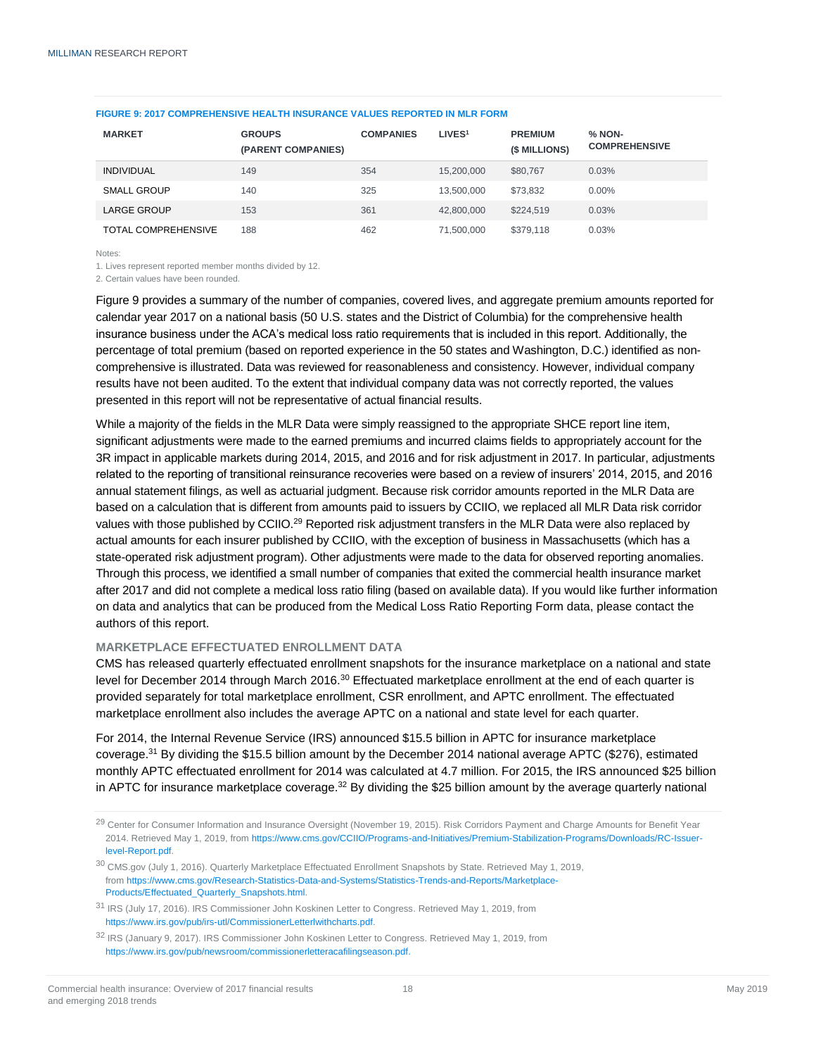| <b>MARKET</b>              | <b>GROUPS</b><br>(PARENT COMPANIES) | <b>COMPANIES</b> | LIVES <sup>1</sup> | <b>PREMIUM</b><br>(\$ MILLIONS) | % NON-<br><b>COMPREHENSIVE</b> |
|----------------------------|-------------------------------------|------------------|--------------------|---------------------------------|--------------------------------|
| <b>INDIVIDUAL</b>          | 149                                 | 354              | 15,200,000         | \$80,767                        | 0.03%                          |
| SMALL GROUP                | 140                                 | 325              | 13.500.000         | \$73.832                        | $0.00\%$                       |
| <b>LARGE GROUP</b>         | 153                                 | 361              | 42,800,000         | \$224.519                       | 0.03%                          |
| <b>TOTAL COMPREHENSIVE</b> | 188                                 | 462              | 71.500.000         | \$379.118                       | 0.03%                          |

#### **FIGURE 9: 2017 COMPREHENSIVE HEALTH INSURANCE VALUES REPORTED IN MLR FORM**

Notes:

1. Lives represent reported member months divided by 12.

2. Certain values have been rounded.

Figure 9 provides a summary of the number of companies, covered lives, and aggregate premium amounts reported for calendar year 2017 on a national basis (50 U.S. states and the District of Columbia) for the comprehensive health insurance business under the ACA's medical loss ratio requirements that is included in this report. Additionally, the percentage of total premium (based on reported experience in the 50 states and Washington, D.C.) identified as noncomprehensive is illustrated. Data was reviewed for reasonableness and consistency. However, individual company results have not been audited. To the extent that individual company data was not correctly reported, the values presented in this report will not be representative of actual financial results.

While a majority of the fields in the MLR Data were simply reassigned to the appropriate SHCE report line item, significant adjustments were made to the earned premiums and incurred claims fields to appropriately account for the 3R impact in applicable markets during 2014, 2015, and 2016 and for risk adjustment in 2017. In particular, adjustments related to the reporting of transitional reinsurance recoveries were based on a review of insurers' 2014, 2015, and 2016 annual statement filings, as well as actuarial judgment. Because risk corridor amounts reported in the MLR Data are based on a calculation that is different from amounts paid to issuers by CCIIO, we replaced all MLR Data risk corridor values with those published by CCIIO.<sup>29</sup> Reported risk adjustment transfers in the MLR Data were also replaced by actual amounts for each insurer published by CCIIO, with the exception of business in Massachusetts (which has a state-operated risk adjustment program). Other adjustments were made to the data for observed reporting anomalies. Through this process, we identified a small number of companies that exited the commercial health insurance market after 2017 and did not complete a medical loss ratio filing (based on available data). If you would like further information on data and analytics that can be produced from the Medical Loss Ratio Reporting Form data, please contact the authors of this report.

#### <span id="page-17-0"></span>**MARKETPLACE EFFECTUATED ENROLLMENT DATA**

CMS has released quarterly effectuated enrollment snapshots for the insurance marketplace on a national and state level for December 2014 through March 2016.<sup>30</sup> Effectuated marketplace enrollment at the end of each quarter is provided separately for total marketplace enrollment, CSR enrollment, and APTC enrollment. The effectuated marketplace enrollment also includes the average APTC on a national and state level for each quarter.

For 2014, the Internal Revenue Service (IRS) announced \$15.5 billion in APTC for insurance marketplace coverage.<sup>31</sup> By dividing the \$15.5 billion amount by the December 2014 national average APTC (\$276), estimated monthly APTC effectuated enrollment for 2014 was calculated at 4.7 million. For 2015, the IRS announced \$25 billion in APTC for insurance marketplace coverage. $32$  By dividing the \$25 billion amount by the average quarterly national

<sup>&</sup>lt;sup>29</sup> Center for Consumer Information and Insurance Oversight (November 19, 2015). Risk Corridors Payment and Charge Amounts for Benefit Year 2014. Retrieved May 1, 2019, from [https://www.cms.gov/CCIIO/Programs-and-Initiatives/Premium-Stabilization-Programs/Downloads/RC-Issuer](https://www.cms.gov/CCIIO/Programs-and-Initiatives/Premium-Stabilization-Programs/Downloads/RC-Issuer-level-Report.pdf)[level-Report.pdf.](https://www.cms.gov/CCIIO/Programs-and-Initiatives/Premium-Stabilization-Programs/Downloads/RC-Issuer-level-Report.pdf)

<sup>&</sup>lt;sup>30</sup> CMS.gov (July 1, 2016). Quarterly Marketplace Effectuated Enrollment Snapshots by State. Retrieved May 1, 2019, fro[m https://www.cms.gov/Research-Statistics-Data-and-Systems/Statistics-Trends-and-Reports/Marketplace-](https://www.cms.gov/Research-Statistics-Data-and-Systems/Statistics-Trends-and-Reports/Marketplace-Products/Effectuated_Quarterly_Snapshots.html)[Products/Effectuated\\_Quarterly\\_Snapshots.html.](https://www.cms.gov/Research-Statistics-Data-and-Systems/Statistics-Trends-and-Reports/Marketplace-Products/Effectuated_Quarterly_Snapshots.html)

<sup>31</sup> IRS (July 17, 2016). IRS Commissioner John Koskinen Letter to Congress. Retrieved May 1, 2019, from [https://www.irs.gov/pub/irs-utl/CommissionerLetterlwithcharts.pdf.](https://www.irs.gov/pub/irs-utl/CommissionerLetterlwithcharts.pdf)

<sup>32</sup> IRS (January 9, 2017). IRS Commissioner John Koskinen Letter to Congress. Retrieved May 1, 2019, from [https://www.irs.gov/pub/newsroom/commissionerletteracafilingseason.pdf.](https://www.irs.gov/pub/newsroom/commissionerletteracafilingseason.pdf)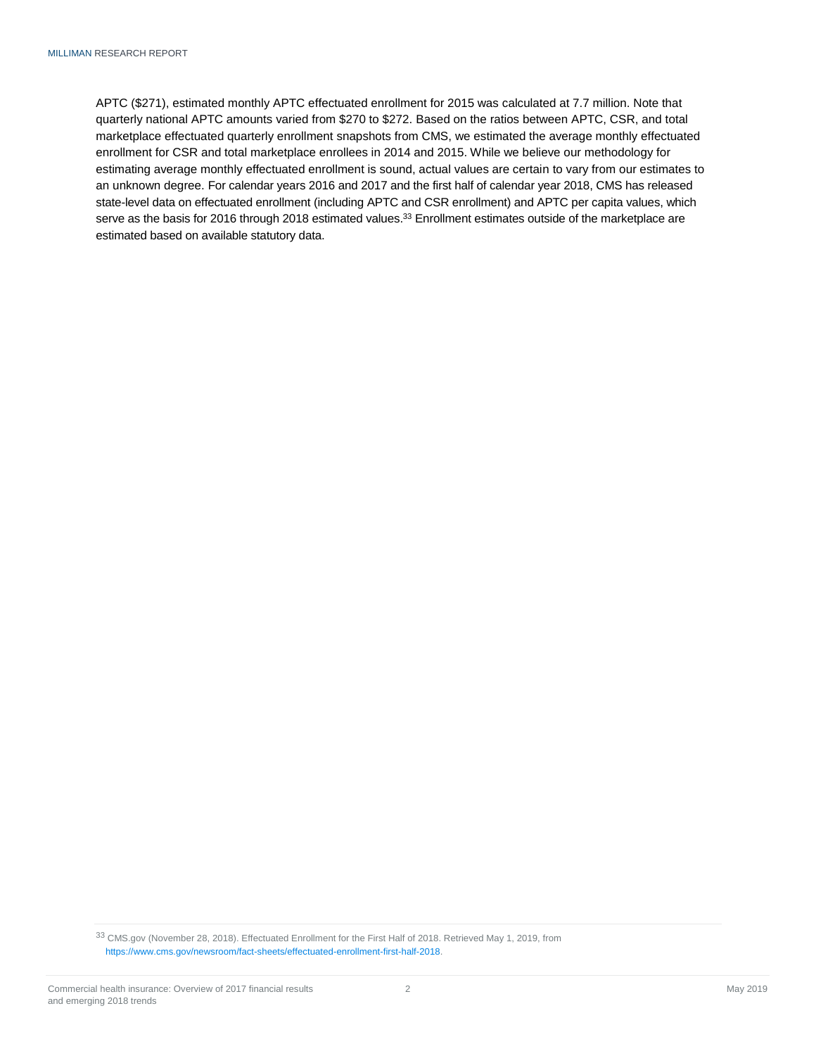APTC (\$271), estimated monthly APTC effectuated enrollment for 2015 was calculated at 7.7 million. Note that quarterly national APTC amounts varied from \$270 to \$272. Based on the ratios between APTC, CSR, and total marketplace effectuated quarterly enrollment snapshots from CMS, we estimated the average monthly effectuated enrollment for CSR and total marketplace enrollees in 2014 and 2015. While we believe our methodology for estimating average monthly effectuated enrollment is sound, actual values are certain to vary from our estimates to an unknown degree. For calendar years 2016 and 2017 and the first half of calendar year 2018, CMS has released state-level data on effectuated enrollment (including APTC and CSR enrollment) and APTC per capita values, which serve as the basis for 2016 through 2018 estimated values.<sup>33</sup> Enrollment estimates outside of the marketplace are estimated based on available statutory data.

<sup>33</sup> CMS.gov (November 28, 2018). Effectuated Enrollment for the First Half of 2018. Retrieved May 1, 2019, from https://www.cms.gov/newsroom/fact-sheets/effectuated-enrollment-first-half-2018.